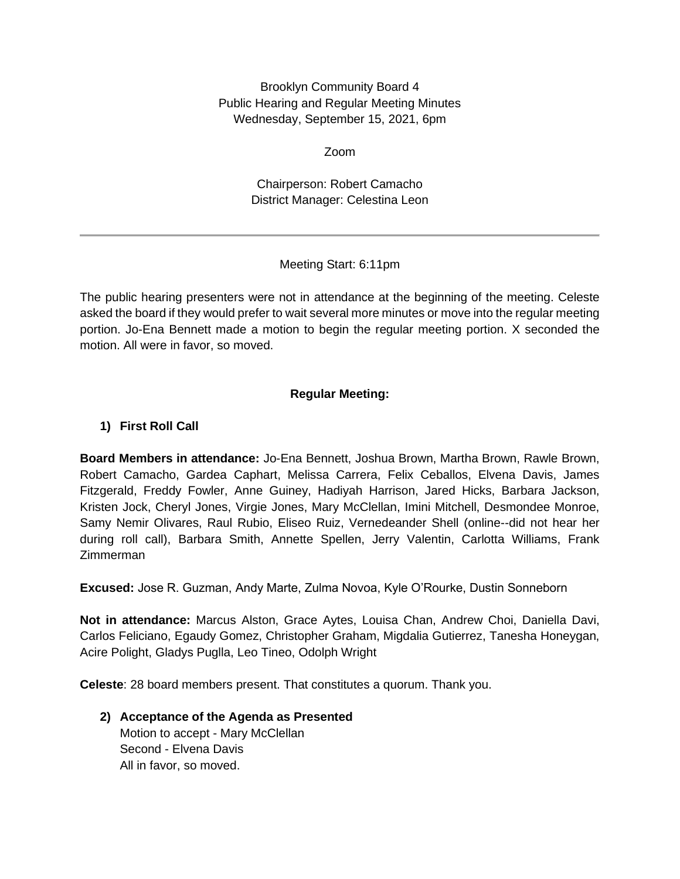Brooklyn Community Board 4 Public Hearing and Regular Meeting Minutes Wednesday, September 15, 2021, 6pm

Zoom

Chairperson: Robert Camacho District Manager: Celestina Leon

# Meeting Start: 6:11pm

The public hearing presenters were not in attendance at the beginning of the meeting. Celeste asked the board if they would prefer to wait several more minutes or move into the regular meeting portion. Jo-Ena Bennett made a motion to begin the regular meeting portion. X seconded the motion. All were in favor, so moved.

# **Regular Meeting:**

# **1) First Roll Call**

**Board Members in attendance:** Jo-Ena Bennett, Joshua Brown, Martha Brown, Rawle Brown, Robert Camacho, Gardea Caphart, Melissa Carrera, Felix Ceballos, Elvena Davis, James Fitzgerald, Freddy Fowler, Anne Guiney, Hadiyah Harrison, Jared Hicks, Barbara Jackson, Kristen Jock, Cheryl Jones, Virgie Jones, Mary McClellan, Imini Mitchell, Desmondee Monroe, Samy Nemir Olivares, Raul Rubio, Eliseo Ruiz, Vernedeander Shell (online--did not hear her during roll call), Barbara Smith, Annette Spellen, Jerry Valentin, Carlotta Williams, Frank Zimmerman

**Excused:** Jose R. Guzman, Andy Marte, Zulma Novoa, Kyle O'Rourke, Dustin Sonneborn

**Not in attendance:** Marcus Alston, Grace Aytes, Louisa Chan, Andrew Choi, Daniella Davi, Carlos Feliciano, Egaudy Gomez, Christopher Graham, Migdalia Gutierrez, Tanesha Honeygan, Acire Polight, Gladys Puglla, Leo Tineo, Odolph Wright

**Celeste**: 28 board members present. That constitutes a quorum. Thank you.

#### **2) Acceptance of the Agenda as Presented** Motion to accept - Mary McClellan Second - Elvena Davis All in favor, so moved.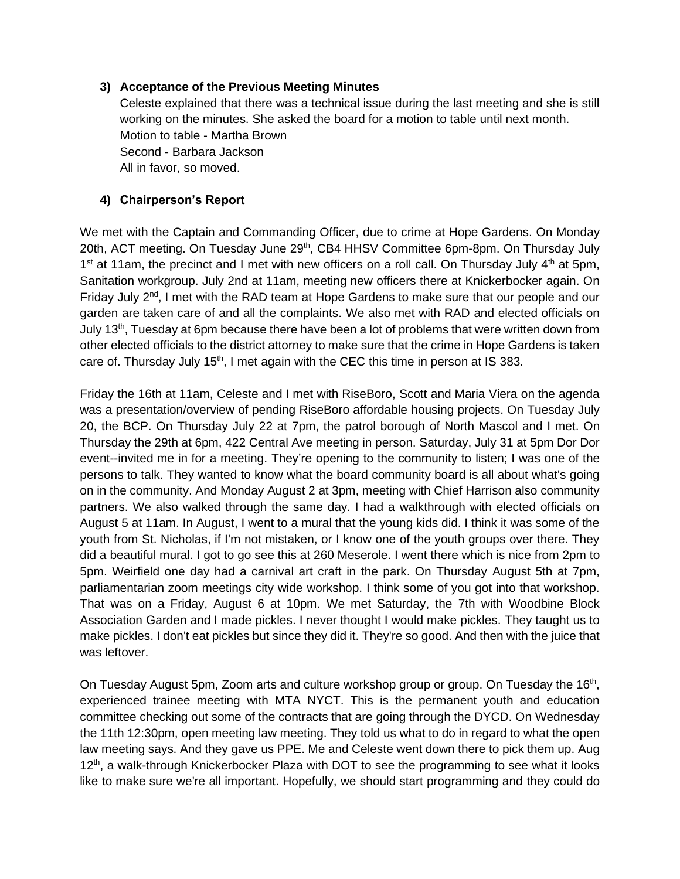#### **3) Acceptance of the Previous Meeting Minutes**

Celeste explained that there was a technical issue during the last meeting and she is still working on the minutes. She asked the board for a motion to table until next month. Motion to table - Martha Brown Second - Barbara Jackson All in favor, so moved.

### **4) Chairperson's Report**

We met with the Captain and Commanding Officer, due to crime at Hope Gardens. On Monday 20th, ACT meeting. On Tuesday June 29<sup>th</sup>, CB4 HHSV Committee 6pm-8pm. On Thursday July  $1<sup>st</sup>$  at 11am, the precinct and I met with new officers on a roll call. On Thursday July  $4<sup>th</sup>$  at 5pm, Sanitation workgroup. July 2nd at 11am, meeting new officers there at Knickerbocker again. On Friday July  $2<sup>nd</sup>$ , I met with the RAD team at Hope Gardens to make sure that our people and our garden are taken care of and all the complaints. We also met with RAD and elected officials on July 13<sup>th</sup>, Tuesday at 6pm because there have been a lot of problems that were written down from other elected officials to the district attorney to make sure that the crime in Hope Gardens is taken care of. Thursday July 15<sup>th</sup>, I met again with the CEC this time in person at IS 383.

Friday the 16th at 11am, Celeste and I met with RiseBoro, Scott and Maria Viera on the agenda was a presentation/overview of pending RiseBoro affordable housing projects. On Tuesday July 20, the BCP. On Thursday July 22 at 7pm, the patrol borough of North Mascol and I met. On Thursday the 29th at 6pm, 422 Central Ave meeting in person. Saturday, July 31 at 5pm Dor Dor event--invited me in for a meeting. They're opening to the community to listen; I was one of the persons to talk. They wanted to know what the board community board is all about what's going on in the community. And Monday August 2 at 3pm, meeting with Chief Harrison also community partners. We also walked through the same day. I had a walkthrough with elected officials on August 5 at 11am. In August, I went to a mural that the young kids did. I think it was some of the youth from St. Nicholas, if I'm not mistaken, or I know one of the youth groups over there. They did a beautiful mural. I got to go see this at 260 Meserole. I went there which is nice from 2pm to 5pm. Weirfield one day had a carnival art craft in the park. On Thursday August 5th at 7pm, parliamentarian zoom meetings city wide workshop. I think some of you got into that workshop. That was on a Friday, August 6 at 10pm. We met Saturday, the 7th with Woodbine Block Association Garden and I made pickles. I never thought I would make pickles. They taught us to make pickles. I don't eat pickles but since they did it. They're so good. And then with the juice that was leftover.

On Tuesday August 5pm, Zoom arts and culture workshop group or group. On Tuesday the 16<sup>th</sup>, experienced trainee meeting with MTA NYCT. This is the permanent youth and education committee checking out some of the contracts that are going through the DYCD. On Wednesday the 11th 12:30pm, open meeting law meeting. They told us what to do in regard to what the open law meeting says. And they gave us PPE. Me and Celeste went down there to pick them up. Aug 12<sup>th</sup>, a walk-through Knickerbocker Plaza with DOT to see the programming to see what it looks like to make sure we're all important. Hopefully, we should start programming and they could do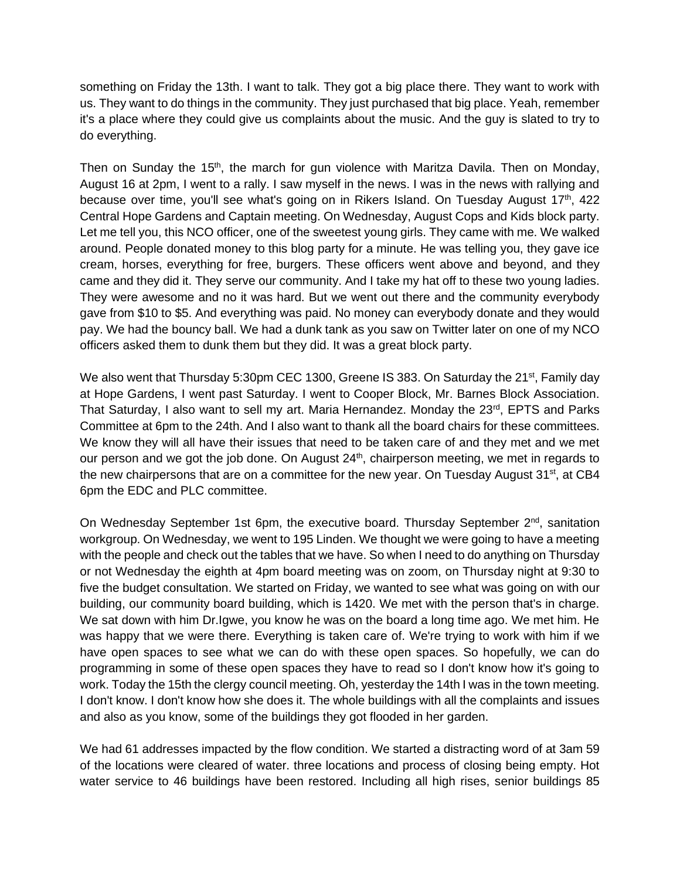something on Friday the 13th. I want to talk. They got a big place there. They want to work with us. They want to do things in the community. They just purchased that big place. Yeah, remember it's a place where they could give us complaints about the music. And the guy is slated to try to do everything.

Then on Sunday the 15<sup>th</sup>, the march for gun violence with Maritza Davila. Then on Monday, August 16 at 2pm, I went to a rally. I saw myself in the news. I was in the news with rallying and because over time, you'll see what's going on in Rikers Island. On Tuesday August 17<sup>th</sup>, 422 Central Hope Gardens and Captain meeting. On Wednesday, August Cops and Kids block party. Let me tell you, this NCO officer, one of the sweetest young girls. They came with me. We walked around. People donated money to this blog party for a minute. He was telling you, they gave ice cream, horses, everything for free, burgers. These officers went above and beyond, and they came and they did it. They serve our community. And I take my hat off to these two young ladies. They were awesome and no it was hard. But we went out there and the community everybody gave from \$10 to \$5. And everything was paid. No money can everybody donate and they would pay. We had the bouncy ball. We had a dunk tank as you saw on Twitter later on one of my NCO officers asked them to dunk them but they did. It was a great block party.

We also went that Thursday 5:30pm CEC 1300, Greene IS 383. On Saturday the 21<sup>st</sup>, Family day at Hope Gardens, I went past Saturday. I went to Cooper Block, Mr. Barnes Block Association. That Saturday, I also want to sell my art. Maria Hernandez. Monday the 23<sup>rd</sup>, EPTS and Parks Committee at 6pm to the 24th. And I also want to thank all the board chairs for these committees. We know they will all have their issues that need to be taken care of and they met and we met our person and we got the job done. On August 24<sup>th</sup>, chairperson meeting, we met in regards to the new chairpersons that are on a committee for the new year. On Tuesday August 31<sup>st</sup>, at CB4 6pm the EDC and PLC committee.

On Wednesday September 1st 6pm, the executive board. Thursday September 2<sup>nd</sup>, sanitation workgroup. On Wednesday, we went to 195 Linden. We thought we were going to have a meeting with the people and check out the tables that we have. So when I need to do anything on Thursday or not Wednesday the eighth at 4pm board meeting was on zoom, on Thursday night at 9:30 to five the budget consultation. We started on Friday, we wanted to see what was going on with our building, our community board building, which is 1420. We met with the person that's in charge. We sat down with him Dr.Igwe, you know he was on the board a long time ago. We met him. He was happy that we were there. Everything is taken care of. We're trying to work with him if we have open spaces to see what we can do with these open spaces. So hopefully, we can do programming in some of these open spaces they have to read so I don't know how it's going to work. Today the 15th the clergy council meeting. Oh, yesterday the 14th I was in the town meeting. I don't know. I don't know how she does it. The whole buildings with all the complaints and issues and also as you know, some of the buildings they got flooded in her garden.

We had 61 addresses impacted by the flow condition. We started a distracting word of at 3am 59 of the locations were cleared of water. three locations and process of closing being empty. Hot water service to 46 buildings have been restored. Including all high rises, senior buildings 85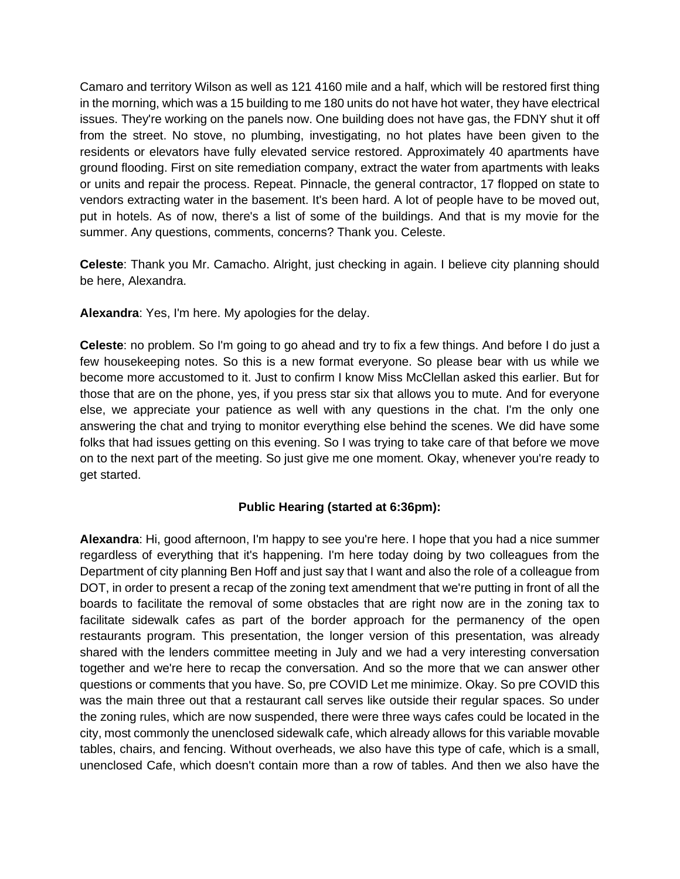Camaro and territory Wilson as well as 121 4160 mile and a half, which will be restored first thing in the morning, which was a 15 building to me 180 units do not have hot water, they have electrical issues. They're working on the panels now. One building does not have gas, the FDNY shut it off from the street. No stove, no plumbing, investigating, no hot plates have been given to the residents or elevators have fully elevated service restored. Approximately 40 apartments have ground flooding. First on site remediation company, extract the water from apartments with leaks or units and repair the process. Repeat. Pinnacle, the general contractor, 17 flopped on state to vendors extracting water in the basement. It's been hard. A lot of people have to be moved out, put in hotels. As of now, there's a list of some of the buildings. And that is my movie for the summer. Any questions, comments, concerns? Thank you. Celeste.

**Celeste**: Thank you Mr. Camacho. Alright, just checking in again. I believe city planning should be here, Alexandra.

**Alexandra**: Yes, I'm here. My apologies for the delay.

**Celeste**: no problem. So I'm going to go ahead and try to fix a few things. And before I do just a few housekeeping notes. So this is a new format everyone. So please bear with us while we become more accustomed to it. Just to confirm I know Miss McClellan asked this earlier. But for those that are on the phone, yes, if you press star six that allows you to mute. And for everyone else, we appreciate your patience as well with any questions in the chat. I'm the only one answering the chat and trying to monitor everything else behind the scenes. We did have some folks that had issues getting on this evening. So I was trying to take care of that before we move on to the next part of the meeting. So just give me one moment. Okay, whenever you're ready to get started.

#### **Public Hearing (started at 6:36pm):**

**Alexandra**: Hi, good afternoon, I'm happy to see you're here. I hope that you had a nice summer regardless of everything that it's happening. I'm here today doing by two colleagues from the Department of city planning Ben Hoff and just say that I want and also the role of a colleague from DOT, in order to present a recap of the zoning text amendment that we're putting in front of all the boards to facilitate the removal of some obstacles that are right now are in the zoning tax to facilitate sidewalk cafes as part of the border approach for the permanency of the open restaurants program. This presentation, the longer version of this presentation, was already shared with the lenders committee meeting in July and we had a very interesting conversation together and we're here to recap the conversation. And so the more that we can answer other questions or comments that you have. So, pre COVID Let me minimize. Okay. So pre COVID this was the main three out that a restaurant call serves like outside their regular spaces. So under the zoning rules, which are now suspended, there were three ways cafes could be located in the city, most commonly the unenclosed sidewalk cafe, which already allows for this variable movable tables, chairs, and fencing. Without overheads, we also have this type of cafe, which is a small, unenclosed Cafe, which doesn't contain more than a row of tables. And then we also have the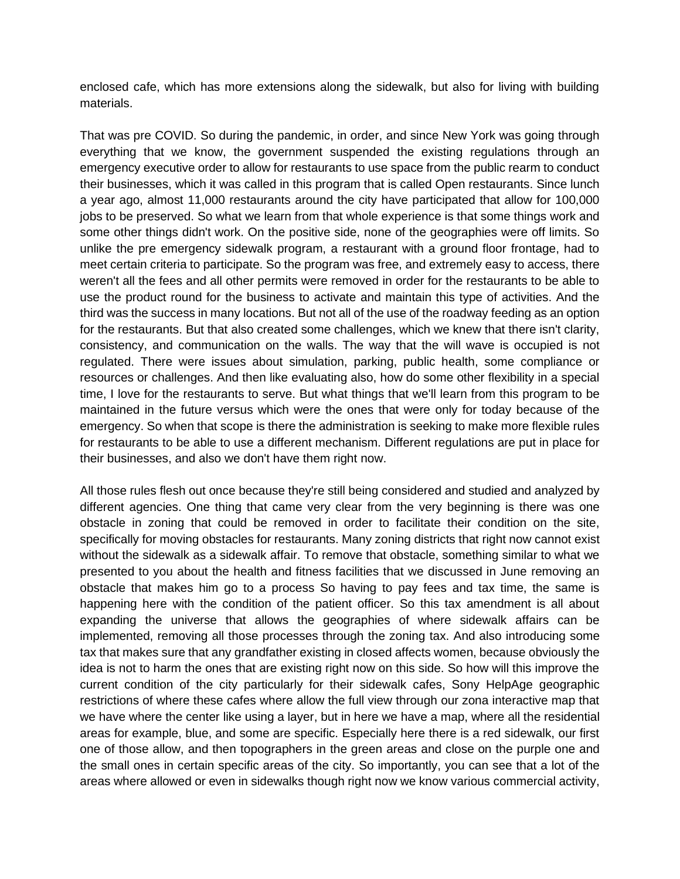enclosed cafe, which has more extensions along the sidewalk, but also for living with building materials.

That was pre COVID. So during the pandemic, in order, and since New York was going through everything that we know, the government suspended the existing regulations through an emergency executive order to allow for restaurants to use space from the public rearm to conduct their businesses, which it was called in this program that is called Open restaurants. Since lunch a year ago, almost 11,000 restaurants around the city have participated that allow for 100,000 jobs to be preserved. So what we learn from that whole experience is that some things work and some other things didn't work. On the positive side, none of the geographies were off limits. So unlike the pre emergency sidewalk program, a restaurant with a ground floor frontage, had to meet certain criteria to participate. So the program was free, and extremely easy to access, there weren't all the fees and all other permits were removed in order for the restaurants to be able to use the product round for the business to activate and maintain this type of activities. And the third was the success in many locations. But not all of the use of the roadway feeding as an option for the restaurants. But that also created some challenges, which we knew that there isn't clarity, consistency, and communication on the walls. The way that the will wave is occupied is not regulated. There were issues about simulation, parking, public health, some compliance or resources or challenges. And then like evaluating also, how do some other flexibility in a special time, I love for the restaurants to serve. But what things that we'll learn from this program to be maintained in the future versus which were the ones that were only for today because of the emergency. So when that scope is there the administration is seeking to make more flexible rules for restaurants to be able to use a different mechanism. Different regulations are put in place for their businesses, and also we don't have them right now.

All those rules flesh out once because they're still being considered and studied and analyzed by different agencies. One thing that came very clear from the very beginning is there was one obstacle in zoning that could be removed in order to facilitate their condition on the site, specifically for moving obstacles for restaurants. Many zoning districts that right now cannot exist without the sidewalk as a sidewalk affair. To remove that obstacle, something similar to what we presented to you about the health and fitness facilities that we discussed in June removing an obstacle that makes him go to a process So having to pay fees and tax time, the same is happening here with the condition of the patient officer. So this tax amendment is all about expanding the universe that allows the geographies of where sidewalk affairs can be implemented, removing all those processes through the zoning tax. And also introducing some tax that makes sure that any grandfather existing in closed affects women, because obviously the idea is not to harm the ones that are existing right now on this side. So how will this improve the current condition of the city particularly for their sidewalk cafes, Sony HelpAge geographic restrictions of where these cafes where allow the full view through our zona interactive map that we have where the center like using a layer, but in here we have a map, where all the residential areas for example, blue, and some are specific. Especially here there is a red sidewalk, our first one of those allow, and then topographers in the green areas and close on the purple one and the small ones in certain specific areas of the city. So importantly, you can see that a lot of the areas where allowed or even in sidewalks though right now we know various commercial activity,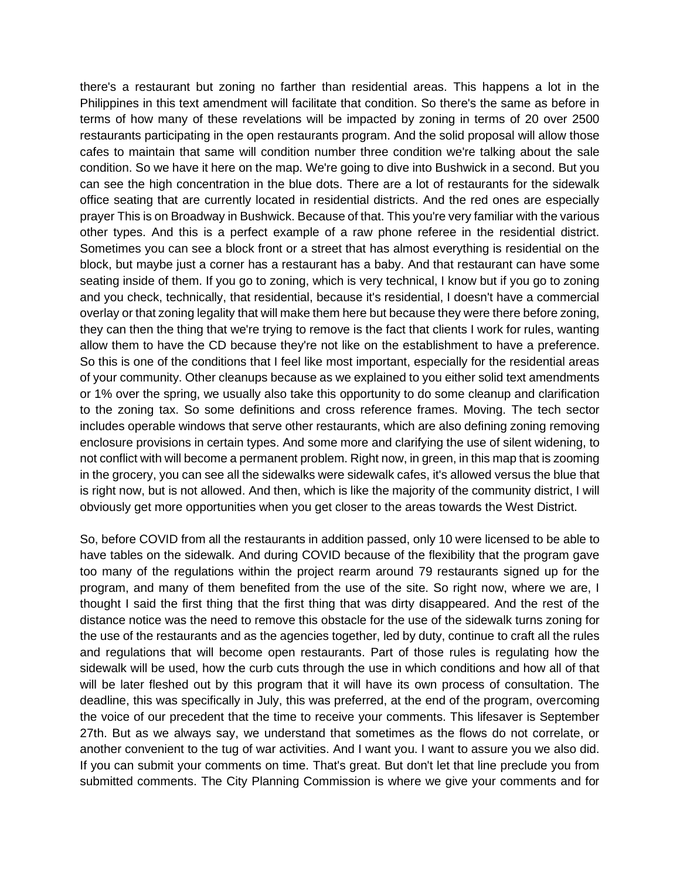there's a restaurant but zoning no farther than residential areas. This happens a lot in the Philippines in this text amendment will facilitate that condition. So there's the same as before in terms of how many of these revelations will be impacted by zoning in terms of 20 over 2500 restaurants participating in the open restaurants program. And the solid proposal will allow those cafes to maintain that same will condition number three condition we're talking about the sale condition. So we have it here on the map. We're going to dive into Bushwick in a second. But you can see the high concentration in the blue dots. There are a lot of restaurants for the sidewalk office seating that are currently located in residential districts. And the red ones are especially prayer This is on Broadway in Bushwick. Because of that. This you're very familiar with the various other types. And this is a perfect example of a raw phone referee in the residential district. Sometimes you can see a block front or a street that has almost everything is residential on the block, but maybe just a corner has a restaurant has a baby. And that restaurant can have some seating inside of them. If you go to zoning, which is very technical, I know but if you go to zoning and you check, technically, that residential, because it's residential, I doesn't have a commercial overlay or that zoning legality that will make them here but because they were there before zoning, they can then the thing that we're trying to remove is the fact that clients I work for rules, wanting allow them to have the CD because they're not like on the establishment to have a preference. So this is one of the conditions that I feel like most important, especially for the residential areas of your community. Other cleanups because as we explained to you either solid text amendments or 1% over the spring, we usually also take this opportunity to do some cleanup and clarification to the zoning tax. So some definitions and cross reference frames. Moving. The tech sector includes operable windows that serve other restaurants, which are also defining zoning removing enclosure provisions in certain types. And some more and clarifying the use of silent widening, to not conflict with will become a permanent problem. Right now, in green, in this map that is zooming in the grocery, you can see all the sidewalks were sidewalk cafes, it's allowed versus the blue that is right now, but is not allowed. And then, which is like the majority of the community district, I will obviously get more opportunities when you get closer to the areas towards the West District.

So, before COVID from all the restaurants in addition passed, only 10 were licensed to be able to have tables on the sidewalk. And during COVID because of the flexibility that the program gave too many of the regulations within the project rearm around 79 restaurants signed up for the program, and many of them benefited from the use of the site. So right now, where we are, I thought I said the first thing that the first thing that was dirty disappeared. And the rest of the distance notice was the need to remove this obstacle for the use of the sidewalk turns zoning for the use of the restaurants and as the agencies together, led by duty, continue to craft all the rules and regulations that will become open restaurants. Part of those rules is regulating how the sidewalk will be used, how the curb cuts through the use in which conditions and how all of that will be later fleshed out by this program that it will have its own process of consultation. The deadline, this was specifically in July, this was preferred, at the end of the program, overcoming the voice of our precedent that the time to receive your comments. This lifesaver is September 27th. But as we always say, we understand that sometimes as the flows do not correlate, or another convenient to the tug of war activities. And I want you. I want to assure you we also did. If you can submit your comments on time. That's great. But don't let that line preclude you from submitted comments. The City Planning Commission is where we give your comments and for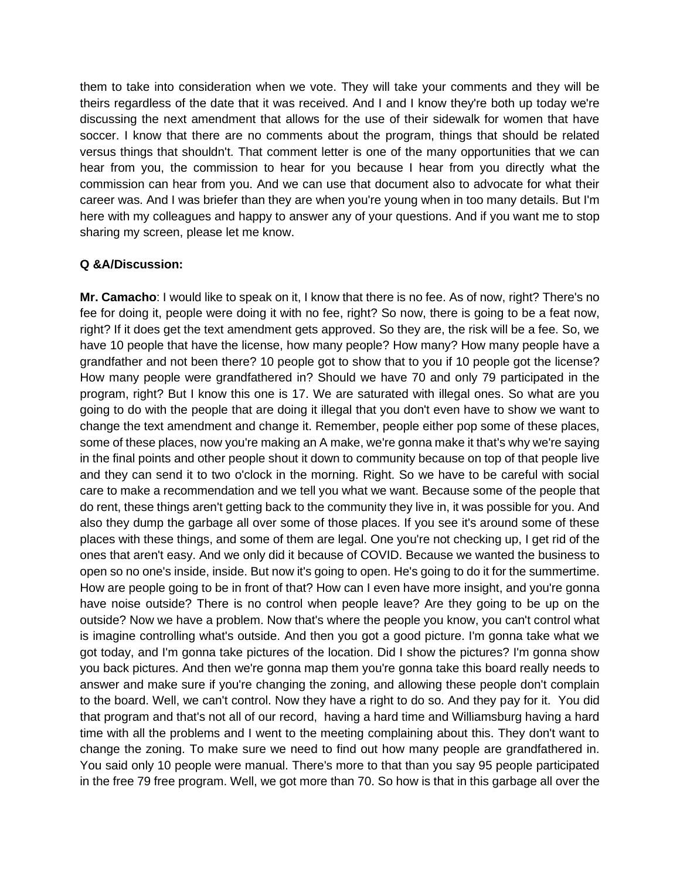them to take into consideration when we vote. They will take your comments and they will be theirs regardless of the date that it was received. And I and I know they're both up today we're discussing the next amendment that allows for the use of their sidewalk for women that have soccer. I know that there are no comments about the program, things that should be related versus things that shouldn't. That comment letter is one of the many opportunities that we can hear from you, the commission to hear for you because I hear from you directly what the commission can hear from you. And we can use that document also to advocate for what their career was. And I was briefer than they are when you're young when in too many details. But I'm here with my colleagues and happy to answer any of your questions. And if you want me to stop sharing my screen, please let me know.

#### **Q &A/Discussion:**

**Mr. Camacho**: I would like to speak on it, I know that there is no fee. As of now, right? There's no fee for doing it, people were doing it with no fee, right? So now, there is going to be a feat now, right? If it does get the text amendment gets approved. So they are, the risk will be a fee. So, we have 10 people that have the license, how many people? How many? How many people have a grandfather and not been there? 10 people got to show that to you if 10 people got the license? How many people were grandfathered in? Should we have 70 and only 79 participated in the program, right? But I know this one is 17. We are saturated with illegal ones. So what are you going to do with the people that are doing it illegal that you don't even have to show we want to change the text amendment and change it. Remember, people either pop some of these places, some of these places, now you're making an A make, we're gonna make it that's why we're saying in the final points and other people shout it down to community because on top of that people live and they can send it to two o'clock in the morning. Right. So we have to be careful with social care to make a recommendation and we tell you what we want. Because some of the people that do rent, these things aren't getting back to the community they live in, it was possible for you. And also they dump the garbage all over some of those places. If you see it's around some of these places with these things, and some of them are legal. One you're not checking up, I get rid of the ones that aren't easy. And we only did it because of COVID. Because we wanted the business to open so no one's inside, inside. But now it's going to open. He's going to do it for the summertime. How are people going to be in front of that? How can I even have more insight, and you're gonna have noise outside? There is no control when people leave? Are they going to be up on the outside? Now we have a problem. Now that's where the people you know, you can't control what is imagine controlling what's outside. And then you got a good picture. I'm gonna take what we got today, and I'm gonna take pictures of the location. Did I show the pictures? I'm gonna show you back pictures. And then we're gonna map them you're gonna take this board really needs to answer and make sure if you're changing the zoning, and allowing these people don't complain to the board. Well, we can't control. Now they have a right to do so. And they pay for it. You did that program and that's not all of our record, having a hard time and Williamsburg having a hard time with all the problems and I went to the meeting complaining about this. They don't want to change the zoning. To make sure we need to find out how many people are grandfathered in. You said only 10 people were manual. There's more to that than you say 95 people participated in the free 79 free program. Well, we got more than 70. So how is that in this garbage all over the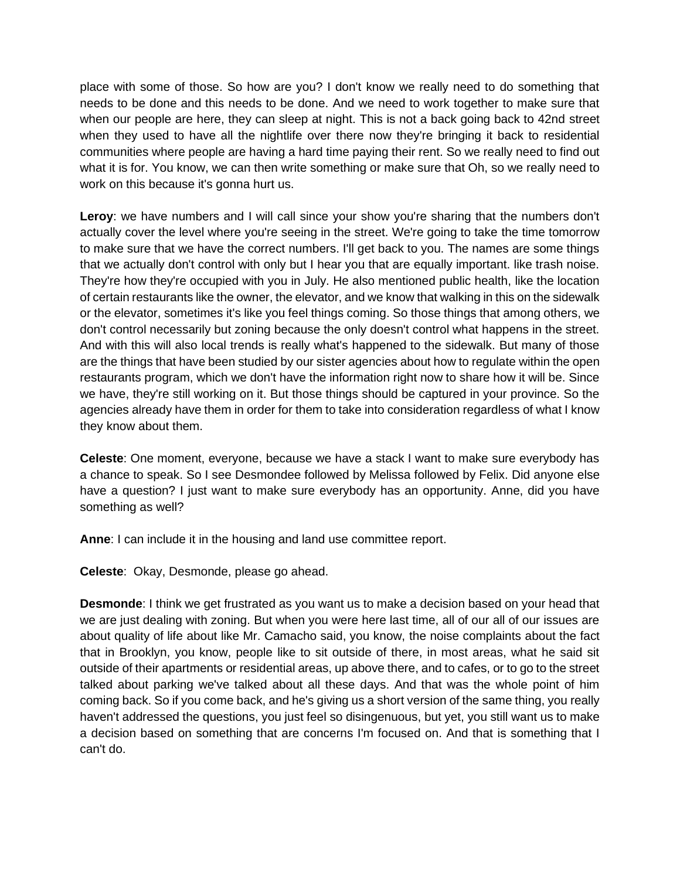place with some of those. So how are you? I don't know we really need to do something that needs to be done and this needs to be done. And we need to work together to make sure that when our people are here, they can sleep at night. This is not a back going back to 42nd street when they used to have all the nightlife over there now they're bringing it back to residential communities where people are having a hard time paying their rent. So we really need to find out what it is for. You know, we can then write something or make sure that Oh, so we really need to work on this because it's gonna hurt us.

**Leroy**: we have numbers and I will call since your show you're sharing that the numbers don't actually cover the level where you're seeing in the street. We're going to take the time tomorrow to make sure that we have the correct numbers. I'll get back to you. The names are some things that we actually don't control with only but I hear you that are equally important. like trash noise. They're how they're occupied with you in July. He also mentioned public health, like the location of certain restaurants like the owner, the elevator, and we know that walking in this on the sidewalk or the elevator, sometimes it's like you feel things coming. So those things that among others, we don't control necessarily but zoning because the only doesn't control what happens in the street. And with this will also local trends is really what's happened to the sidewalk. But many of those are the things that have been studied by our sister agencies about how to regulate within the open restaurants program, which we don't have the information right now to share how it will be. Since we have, they're still working on it. But those things should be captured in your province. So the agencies already have them in order for them to take into consideration regardless of what I know they know about them.

**Celeste**: One moment, everyone, because we have a stack I want to make sure everybody has a chance to speak. So I see Desmondee followed by Melissa followed by Felix. Did anyone else have a question? I just want to make sure everybody has an opportunity. Anne, did you have something as well?

**Anne**: I can include it in the housing and land use committee report.

**Celeste**: Okay, Desmonde, please go ahead.

**Desmonde**: I think we get frustrated as you want us to make a decision based on your head that we are just dealing with zoning. But when you were here last time, all of our all of our issues are about quality of life about like Mr. Camacho said, you know, the noise complaints about the fact that in Brooklyn, you know, people like to sit outside of there, in most areas, what he said sit outside of their apartments or residential areas, up above there, and to cafes, or to go to the street talked about parking we've talked about all these days. And that was the whole point of him coming back. So if you come back, and he's giving us a short version of the same thing, you really haven't addressed the questions, you just feel so disingenuous, but yet, you still want us to make a decision based on something that are concerns I'm focused on. And that is something that I can't do.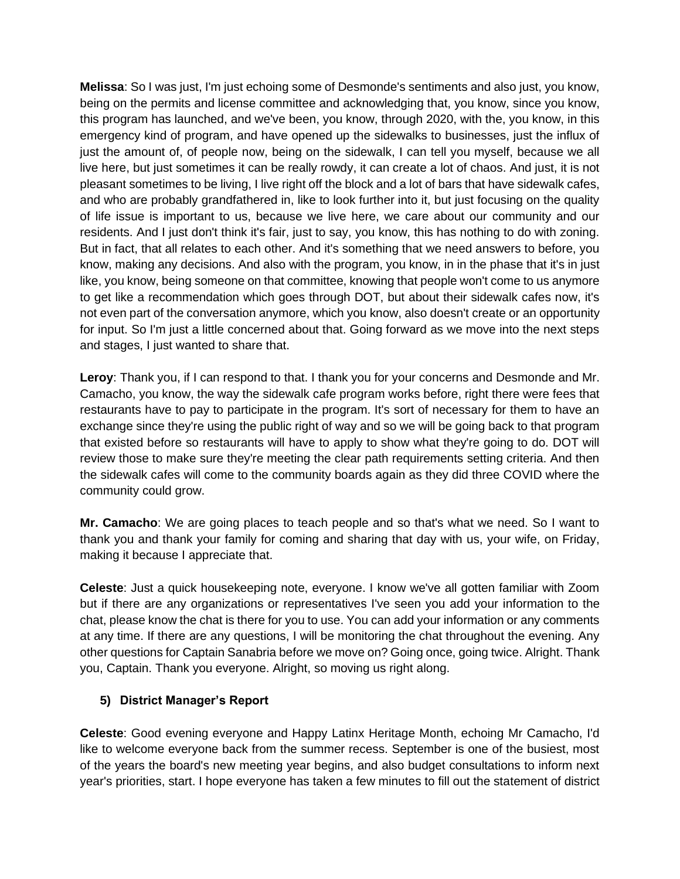**Melissa**: So I was just, I'm just echoing some of Desmonde's sentiments and also just, you know, being on the permits and license committee and acknowledging that, you know, since you know, this program has launched, and we've been, you know, through 2020, with the, you know, in this emergency kind of program, and have opened up the sidewalks to businesses, just the influx of just the amount of, of people now, being on the sidewalk, I can tell you myself, because we all live here, but just sometimes it can be really rowdy, it can create a lot of chaos. And just, it is not pleasant sometimes to be living, I live right off the block and a lot of bars that have sidewalk cafes, and who are probably grandfathered in, like to look further into it, but just focusing on the quality of life issue is important to us, because we live here, we care about our community and our residents. And I just don't think it's fair, just to say, you know, this has nothing to do with zoning. But in fact, that all relates to each other. And it's something that we need answers to before, you know, making any decisions. And also with the program, you know, in in the phase that it's in just like, you know, being someone on that committee, knowing that people won't come to us anymore to get like a recommendation which goes through DOT, but about their sidewalk cafes now, it's not even part of the conversation anymore, which you know, also doesn't create or an opportunity for input. So I'm just a little concerned about that. Going forward as we move into the next steps and stages, I just wanted to share that.

**Leroy**: Thank you, if I can respond to that. I thank you for your concerns and Desmonde and Mr. Camacho, you know, the way the sidewalk cafe program works before, right there were fees that restaurants have to pay to participate in the program. It's sort of necessary for them to have an exchange since they're using the public right of way and so we will be going back to that program that existed before so restaurants will have to apply to show what they're going to do. DOT will review those to make sure they're meeting the clear path requirements setting criteria. And then the sidewalk cafes will come to the community boards again as they did three COVID where the community could grow.

**Mr. Camacho**: We are going places to teach people and so that's what we need. So I want to thank you and thank your family for coming and sharing that day with us, your wife, on Friday, making it because I appreciate that.

**Celeste**: Just a quick housekeeping note, everyone. I know we've all gotten familiar with Zoom but if there are any organizations or representatives I've seen you add your information to the chat, please know the chat is there for you to use. You can add your information or any comments at any time. If there are any questions, I will be monitoring the chat throughout the evening. Any other questions for Captain Sanabria before we move on? Going once, going twice. Alright. Thank you, Captain. Thank you everyone. Alright, so moving us right along.

# **5) District Manager's Report**

**Celeste**: Good evening everyone and Happy Latinx Heritage Month, echoing Mr Camacho, I'd like to welcome everyone back from the summer recess. September is one of the busiest, most of the years the board's new meeting year begins, and also budget consultations to inform next year's priorities, start. I hope everyone has taken a few minutes to fill out the statement of district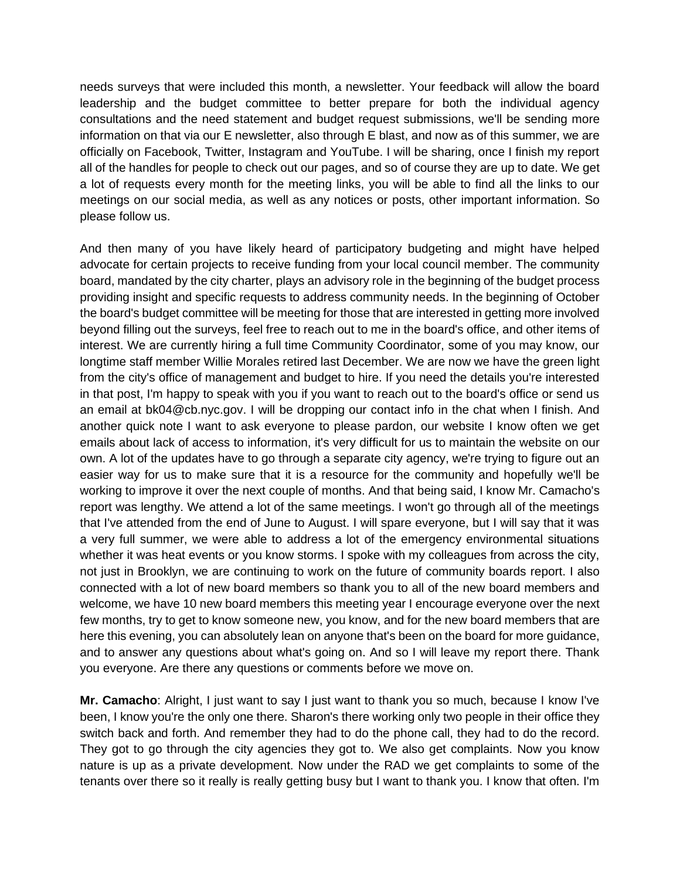needs surveys that were included this month, a newsletter. Your feedback will allow the board leadership and the budget committee to better prepare for both the individual agency consultations and the need statement and budget request submissions, we'll be sending more information on that via our E newsletter, also through E blast, and now as of this summer, we are officially on Facebook, Twitter, Instagram and YouTube. I will be sharing, once I finish my report all of the handles for people to check out our pages, and so of course they are up to date. We get a lot of requests every month for the meeting links, you will be able to find all the links to our meetings on our social media, as well as any notices or posts, other important information. So please follow us.

And then many of you have likely heard of participatory budgeting and might have helped advocate for certain projects to receive funding from your local council member. The community board, mandated by the city charter, plays an advisory role in the beginning of the budget process providing insight and specific requests to address community needs. In the beginning of October the board's budget committee will be meeting for those that are interested in getting more involved beyond filling out the surveys, feel free to reach out to me in the board's office, and other items of interest. We are currently hiring a full time Community Coordinator, some of you may know, our longtime staff member Willie Morales retired last December. We are now we have the green light from the city's office of management and budget to hire. If you need the details you're interested in that post, I'm happy to speak with you if you want to reach out to the board's office or send us an email at bk04@cb.nyc.gov. I will be dropping our contact info in the chat when I finish. And another quick note I want to ask everyone to please pardon, our website I know often we get emails about lack of access to information, it's very difficult for us to maintain the website on our own. A lot of the updates have to go through a separate city agency, we're trying to figure out an easier way for us to make sure that it is a resource for the community and hopefully we'll be working to improve it over the next couple of months. And that being said, I know Mr. Camacho's report was lengthy. We attend a lot of the same meetings. I won't go through all of the meetings that I've attended from the end of June to August. I will spare everyone, but I will say that it was a very full summer, we were able to address a lot of the emergency environmental situations whether it was heat events or you know storms. I spoke with my colleagues from across the city, not just in Brooklyn, we are continuing to work on the future of community boards report. I also connected with a lot of new board members so thank you to all of the new board members and welcome, we have 10 new board members this meeting year I encourage everyone over the next few months, try to get to know someone new, you know, and for the new board members that are here this evening, you can absolutely lean on anyone that's been on the board for more guidance, and to answer any questions about what's going on. And so I will leave my report there. Thank you everyone. Are there any questions or comments before we move on.

**Mr. Camacho**: Alright, I just want to say I just want to thank you so much, because I know I've been, I know you're the only one there. Sharon's there working only two people in their office they switch back and forth. And remember they had to do the phone call, they had to do the record. They got to go through the city agencies they got to. We also get complaints. Now you know nature is up as a private development. Now under the RAD we get complaints to some of the tenants over there so it really is really getting busy but I want to thank you. I know that often. I'm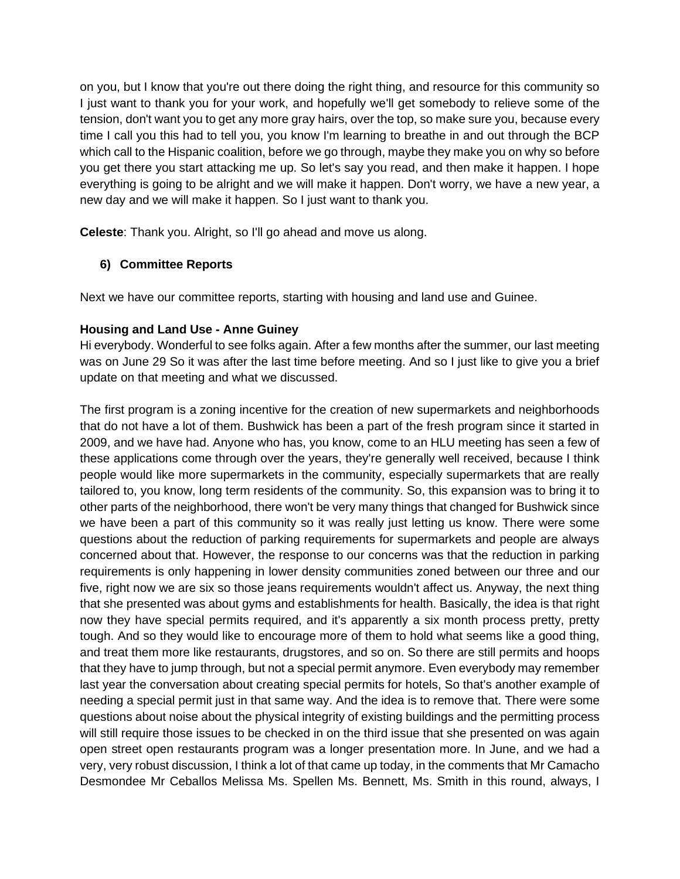on you, but I know that you're out there doing the right thing, and resource for this community so I just want to thank you for your work, and hopefully we'll get somebody to relieve some of the tension, don't want you to get any more gray hairs, over the top, so make sure you, because every time I call you this had to tell you, you know I'm learning to breathe in and out through the BCP which call to the Hispanic coalition, before we go through, maybe they make you on why so before you get there you start attacking me up. So let's say you read, and then make it happen. I hope everything is going to be alright and we will make it happen. Don't worry, we have a new year, a new day and we will make it happen. So I just want to thank you.

**Celeste**: Thank you. Alright, so I'll go ahead and move us along.

# **6) Committee Reports**

Next we have our committee reports, starting with housing and land use and Guinee.

#### **Housing and Land Use - Anne Guiney**

Hi everybody. Wonderful to see folks again. After a few months after the summer, our last meeting was on June 29 So it was after the last time before meeting. And so I just like to give you a brief update on that meeting and what we discussed.

The first program is a zoning incentive for the creation of new supermarkets and neighborhoods that do not have a lot of them. Bushwick has been a part of the fresh program since it started in 2009, and we have had. Anyone who has, you know, come to an HLU meeting has seen a few of these applications come through over the years, they're generally well received, because I think people would like more supermarkets in the community, especially supermarkets that are really tailored to, you know, long term residents of the community. So, this expansion was to bring it to other parts of the neighborhood, there won't be very many things that changed for Bushwick since we have been a part of this community so it was really just letting us know. There were some questions about the reduction of parking requirements for supermarkets and people are always concerned about that. However, the response to our concerns was that the reduction in parking requirements is only happening in lower density communities zoned between our three and our five, right now we are six so those jeans requirements wouldn't affect us. Anyway, the next thing that she presented was about gyms and establishments for health. Basically, the idea is that right now they have special permits required, and it's apparently a six month process pretty, pretty tough. And so they would like to encourage more of them to hold what seems like a good thing, and treat them more like restaurants, drugstores, and so on. So there are still permits and hoops that they have to jump through, but not a special permit anymore. Even everybody may remember last year the conversation about creating special permits for hotels, So that's another example of needing a special permit just in that same way. And the idea is to remove that. There were some questions about noise about the physical integrity of existing buildings and the permitting process will still require those issues to be checked in on the third issue that she presented on was again open street open restaurants program was a longer presentation more. In June, and we had a very, very robust discussion, I think a lot of that came up today, in the comments that Mr Camacho Desmondee Mr Ceballos Melissa Ms. Spellen Ms. Bennett, Ms. Smith in this round, always, I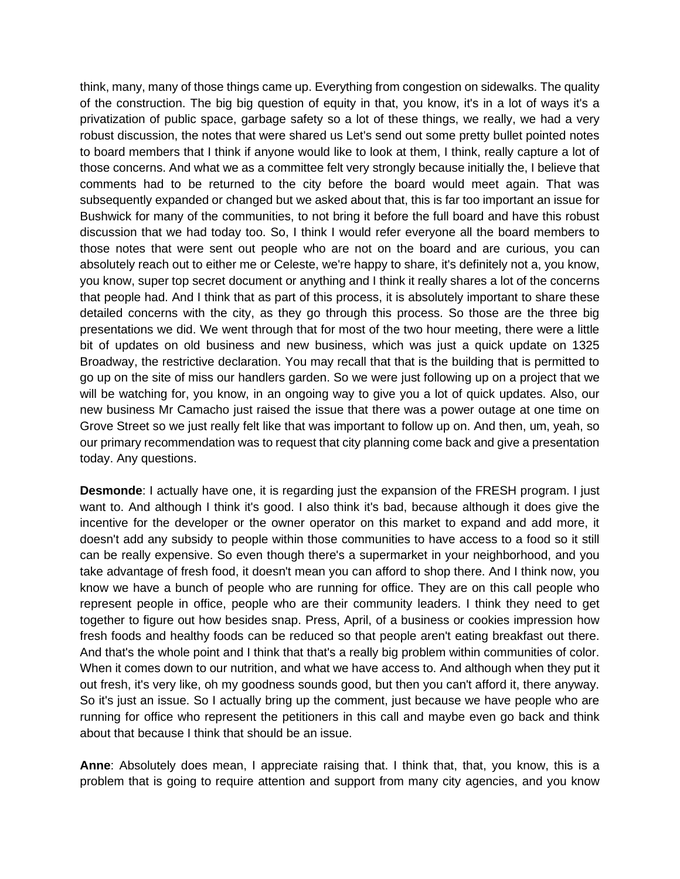think, many, many of those things came up. Everything from congestion on sidewalks. The quality of the construction. The big big question of equity in that, you know, it's in a lot of ways it's a privatization of public space, garbage safety so a lot of these things, we really, we had a very robust discussion, the notes that were shared us Let's send out some pretty bullet pointed notes to board members that I think if anyone would like to look at them, I think, really capture a lot of those concerns. And what we as a committee felt very strongly because initially the, I believe that comments had to be returned to the city before the board would meet again. That was subsequently expanded or changed but we asked about that, this is far too important an issue for Bushwick for many of the communities, to not bring it before the full board and have this robust discussion that we had today too. So, I think I would refer everyone all the board members to those notes that were sent out people who are not on the board and are curious, you can absolutely reach out to either me or Celeste, we're happy to share, it's definitely not a, you know, you know, super top secret document or anything and I think it really shares a lot of the concerns that people had. And I think that as part of this process, it is absolutely important to share these detailed concerns with the city, as they go through this process. So those are the three big presentations we did. We went through that for most of the two hour meeting, there were a little bit of updates on old business and new business, which was just a quick update on 1325 Broadway, the restrictive declaration. You may recall that that is the building that is permitted to go up on the site of miss our handlers garden. So we were just following up on a project that we will be watching for, you know, in an ongoing way to give you a lot of quick updates. Also, our new business Mr Camacho just raised the issue that there was a power outage at one time on Grove Street so we just really felt like that was important to follow up on. And then, um, yeah, so our primary recommendation was to request that city planning come back and give a presentation today. Any questions.

**Desmonde**: I actually have one, it is regarding just the expansion of the FRESH program. I just want to. And although I think it's good. I also think it's bad, because although it does give the incentive for the developer or the owner operator on this market to expand and add more, it doesn't add any subsidy to people within those communities to have access to a food so it still can be really expensive. So even though there's a supermarket in your neighborhood, and you take advantage of fresh food, it doesn't mean you can afford to shop there. And I think now, you know we have a bunch of people who are running for office. They are on this call people who represent people in office, people who are their community leaders. I think they need to get together to figure out how besides snap. Press, April, of a business or cookies impression how fresh foods and healthy foods can be reduced so that people aren't eating breakfast out there. And that's the whole point and I think that that's a really big problem within communities of color. When it comes down to our nutrition, and what we have access to. And although when they put it out fresh, it's very like, oh my goodness sounds good, but then you can't afford it, there anyway. So it's just an issue. So I actually bring up the comment, just because we have people who are running for office who represent the petitioners in this call and maybe even go back and think about that because I think that should be an issue.

**Anne**: Absolutely does mean, I appreciate raising that. I think that, that, you know, this is a problem that is going to require attention and support from many city agencies, and you know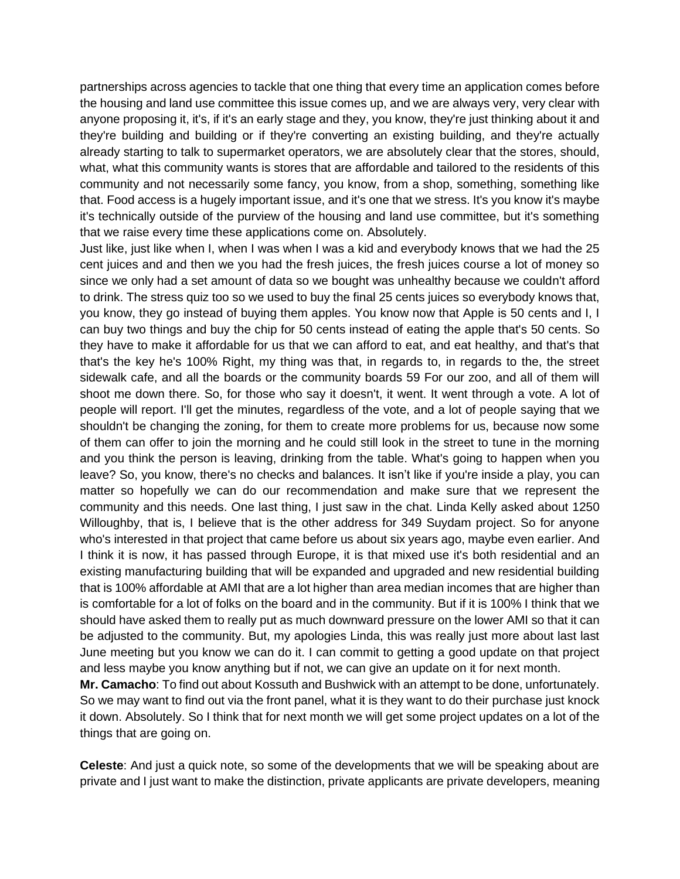partnerships across agencies to tackle that one thing that every time an application comes before the housing and land use committee this issue comes up, and we are always very, very clear with anyone proposing it, it's, if it's an early stage and they, you know, they're just thinking about it and they're building and building or if they're converting an existing building, and they're actually already starting to talk to supermarket operators, we are absolutely clear that the stores, should, what, what this community wants is stores that are affordable and tailored to the residents of this community and not necessarily some fancy, you know, from a shop, something, something like that. Food access is a hugely important issue, and it's one that we stress. It's you know it's maybe it's technically outside of the purview of the housing and land use committee, but it's something that we raise every time these applications come on. Absolutely.

Just like, just like when I, when I was when I was a kid and everybody knows that we had the 25 cent juices and and then we you had the fresh juices, the fresh juices course a lot of money so since we only had a set amount of data so we bought was unhealthy because we couldn't afford to drink. The stress quiz too so we used to buy the final 25 cents juices so everybody knows that, you know, they go instead of buying them apples. You know now that Apple is 50 cents and I, I can buy two things and buy the chip for 50 cents instead of eating the apple that's 50 cents. So they have to make it affordable for us that we can afford to eat, and eat healthy, and that's that that's the key he's 100% Right, my thing was that, in regards to, in regards to the, the street sidewalk cafe, and all the boards or the community boards 59 For our zoo, and all of them will shoot me down there. So, for those who say it doesn't, it went. It went through a vote. A lot of people will report. I'll get the minutes, regardless of the vote, and a lot of people saying that we shouldn't be changing the zoning, for them to create more problems for us, because now some of them can offer to join the morning and he could still look in the street to tune in the morning and you think the person is leaving, drinking from the table. What's going to happen when you leave? So, you know, there's no checks and balances. It isn't like if you're inside a play, you can matter so hopefully we can do our recommendation and make sure that we represent the community and this needs. One last thing, I just saw in the chat. Linda Kelly asked about 1250 Willoughby, that is, I believe that is the other address for 349 Suydam project. So for anyone who's interested in that project that came before us about six years ago, maybe even earlier. And I think it is now, it has passed through Europe, it is that mixed use it's both residential and an existing manufacturing building that will be expanded and upgraded and new residential building that is 100% affordable at AMI that are a lot higher than area median incomes that are higher than is comfortable for a lot of folks on the board and in the community. But if it is 100% I think that we should have asked them to really put as much downward pressure on the lower AMI so that it can be adjusted to the community. But, my apologies Linda, this was really just more about last last June meeting but you know we can do it. I can commit to getting a good update on that project and less maybe you know anything but if not, we can give an update on it for next month.

**Mr. Camacho**: To find out about Kossuth and Bushwick with an attempt to be done, unfortunately. So we may want to find out via the front panel, what it is they want to do their purchase just knock it down. Absolutely. So I think that for next month we will get some project updates on a lot of the things that are going on.

**Celeste**: And just a quick note, so some of the developments that we will be speaking about are private and I just want to make the distinction, private applicants are private developers, meaning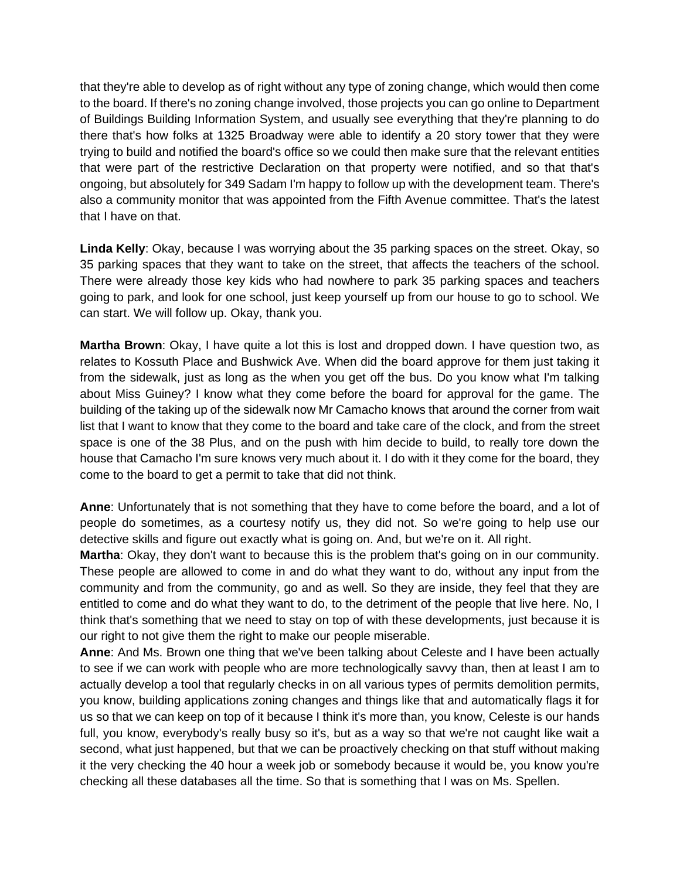that they're able to develop as of right without any type of zoning change, which would then come to the board. If there's no zoning change involved, those projects you can go online to Department of Buildings Building Information System, and usually see everything that they're planning to do there that's how folks at 1325 Broadway were able to identify a 20 story tower that they were trying to build and notified the board's office so we could then make sure that the relevant entities that were part of the restrictive Declaration on that property were notified, and so that that's ongoing, but absolutely for 349 Sadam I'm happy to follow up with the development team. There's also a community monitor that was appointed from the Fifth Avenue committee. That's the latest that I have on that.

**Linda Kelly**: Okay, because I was worrying about the 35 parking spaces on the street. Okay, so 35 parking spaces that they want to take on the street, that affects the teachers of the school. There were already those key kids who had nowhere to park 35 parking spaces and teachers going to park, and look for one school, just keep yourself up from our house to go to school. We can start. We will follow up. Okay, thank you.

**Martha Brown**: Okay, I have quite a lot this is lost and dropped down. I have question two, as relates to Kossuth Place and Bushwick Ave. When did the board approve for them just taking it from the sidewalk, just as long as the when you get off the bus. Do you know what I'm talking about Miss Guiney? I know what they come before the board for approval for the game. The building of the taking up of the sidewalk now Mr Camacho knows that around the corner from wait list that I want to know that they come to the board and take care of the clock, and from the street space is one of the 38 Plus, and on the push with him decide to build, to really tore down the house that Camacho I'm sure knows very much about it. I do with it they come for the board, they come to the board to get a permit to take that did not think.

**Anne**: Unfortunately that is not something that they have to come before the board, and a lot of people do sometimes, as a courtesy notify us, they did not. So we're going to help use our detective skills and figure out exactly what is going on. And, but we're on it. All right.

**Martha**: Okay, they don't want to because this is the problem that's going on in our community. These people are allowed to come in and do what they want to do, without any input from the community and from the community, go and as well. So they are inside, they feel that they are entitled to come and do what they want to do, to the detriment of the people that live here. No, I think that's something that we need to stay on top of with these developments, just because it is our right to not give them the right to make our people miserable.

**Anne**: And Ms. Brown one thing that we've been talking about Celeste and I have been actually to see if we can work with people who are more technologically savvy than, then at least I am to actually develop a tool that regularly checks in on all various types of permits demolition permits, you know, building applications zoning changes and things like that and automatically flags it for us so that we can keep on top of it because I think it's more than, you know, Celeste is our hands full, you know, everybody's really busy so it's, but as a way so that we're not caught like wait a second, what just happened, but that we can be proactively checking on that stuff without making it the very checking the 40 hour a week job or somebody because it would be, you know you're checking all these databases all the time. So that is something that I was on Ms. Spellen.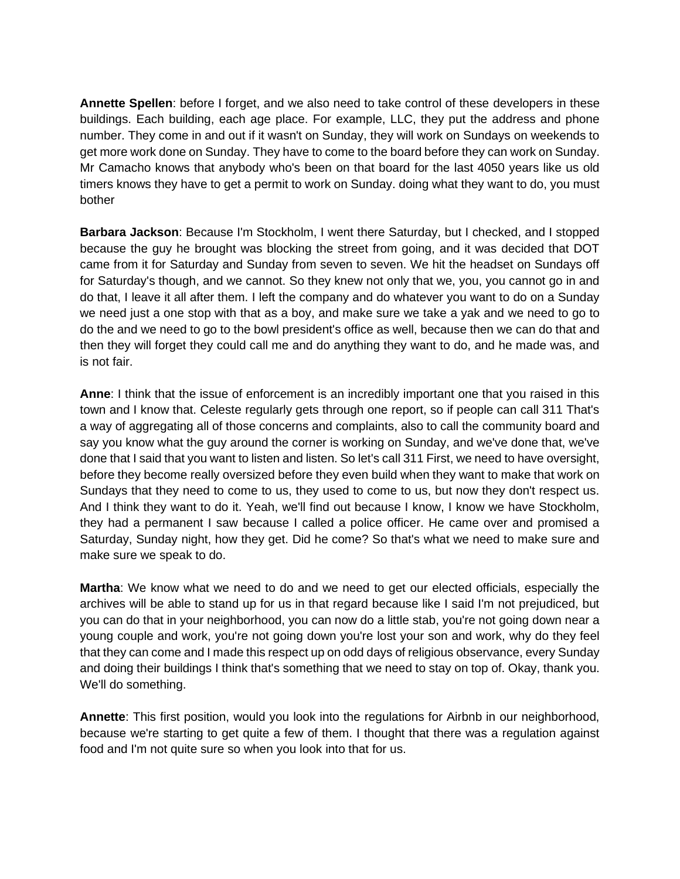**Annette Spellen**: before I forget, and we also need to take control of these developers in these buildings. Each building, each age place. For example, LLC, they put the address and phone number. They come in and out if it wasn't on Sunday, they will work on Sundays on weekends to get more work done on Sunday. They have to come to the board before they can work on Sunday. Mr Camacho knows that anybody who's been on that board for the last 4050 years like us old timers knows they have to get a permit to work on Sunday. doing what they want to do, you must bother

**Barbara Jackson**: Because I'm Stockholm, I went there Saturday, but I checked, and I stopped because the guy he brought was blocking the street from going, and it was decided that DOT came from it for Saturday and Sunday from seven to seven. We hit the headset on Sundays off for Saturday's though, and we cannot. So they knew not only that we, you, you cannot go in and do that, I leave it all after them. I left the company and do whatever you want to do on a Sunday we need just a one stop with that as a boy, and make sure we take a yak and we need to go to do the and we need to go to the bowl president's office as well, because then we can do that and then they will forget they could call me and do anything they want to do, and he made was, and is not fair.

**Anne**: I think that the issue of enforcement is an incredibly important one that you raised in this town and I know that. Celeste regularly gets through one report, so if people can call 311 That's a way of aggregating all of those concerns and complaints, also to call the community board and say you know what the guy around the corner is working on Sunday, and we've done that, we've done that I said that you want to listen and listen. So let's call 311 First, we need to have oversight, before they become really oversized before they even build when they want to make that work on Sundays that they need to come to us, they used to come to us, but now they don't respect us. And I think they want to do it. Yeah, we'll find out because I know, I know we have Stockholm, they had a permanent I saw because I called a police officer. He came over and promised a Saturday, Sunday night, how they get. Did he come? So that's what we need to make sure and make sure we speak to do.

**Martha**: We know what we need to do and we need to get our elected officials, especially the archives will be able to stand up for us in that regard because like I said I'm not prejudiced, but you can do that in your neighborhood, you can now do a little stab, you're not going down near a young couple and work, you're not going down you're lost your son and work, why do they feel that they can come and I made this respect up on odd days of religious observance, every Sunday and doing their buildings I think that's something that we need to stay on top of. Okay, thank you. We'll do something.

**Annette**: This first position, would you look into the regulations for Airbnb in our neighborhood, because we're starting to get quite a few of them. I thought that there was a regulation against food and I'm not quite sure so when you look into that for us.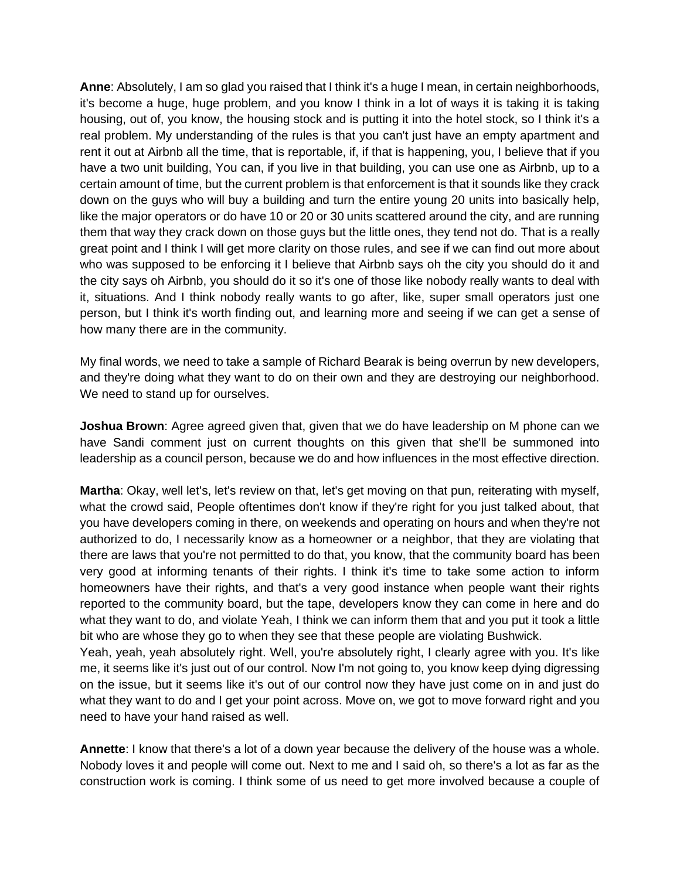**Anne**: Absolutely, I am so glad you raised that I think it's a huge I mean, in certain neighborhoods, it's become a huge, huge problem, and you know I think in a lot of ways it is taking it is taking housing, out of, you know, the housing stock and is putting it into the hotel stock, so I think it's a real problem. My understanding of the rules is that you can't just have an empty apartment and rent it out at Airbnb all the time, that is reportable, if, if that is happening, you, I believe that if you have a two unit building, You can, if you live in that building, you can use one as Airbnb, up to a certain amount of time, but the current problem is that enforcement is that it sounds like they crack down on the guys who will buy a building and turn the entire young 20 units into basically help, like the major operators or do have 10 or 20 or 30 units scattered around the city, and are running them that way they crack down on those guys but the little ones, they tend not do. That is a really great point and I think I will get more clarity on those rules, and see if we can find out more about who was supposed to be enforcing it I believe that Airbnb says oh the city you should do it and the city says oh Airbnb, you should do it so it's one of those like nobody really wants to deal with it, situations. And I think nobody really wants to go after, like, super small operators just one person, but I think it's worth finding out, and learning more and seeing if we can get a sense of how many there are in the community.

My final words, we need to take a sample of Richard Bearak is being overrun by new developers, and they're doing what they want to do on their own and they are destroying our neighborhood. We need to stand up for ourselves.

**Joshua Brown**: Agree agreed given that, given that we do have leadership on M phone can we have Sandi comment just on current thoughts on this given that she'll be summoned into leadership as a council person, because we do and how influences in the most effective direction.

**Martha**: Okay, well let's, let's review on that, let's get moving on that pun, reiterating with myself, what the crowd said, People oftentimes don't know if they're right for you just talked about, that you have developers coming in there, on weekends and operating on hours and when they're not authorized to do, I necessarily know as a homeowner or a neighbor, that they are violating that there are laws that you're not permitted to do that, you know, that the community board has been very good at informing tenants of their rights. I think it's time to take some action to inform homeowners have their rights, and that's a very good instance when people want their rights reported to the community board, but the tape, developers know they can come in here and do what they want to do, and violate Yeah, I think we can inform them that and you put it took a little bit who are whose they go to when they see that these people are violating Bushwick.

Yeah, yeah, yeah absolutely right. Well, you're absolutely right, I clearly agree with you. It's like me, it seems like it's just out of our control. Now I'm not going to, you know keep dying digressing on the issue, but it seems like it's out of our control now they have just come on in and just do what they want to do and I get your point across. Move on, we got to move forward right and you need to have your hand raised as well.

**Annette**: I know that there's a lot of a down year because the delivery of the house was a whole. Nobody loves it and people will come out. Next to me and I said oh, so there's a lot as far as the construction work is coming. I think some of us need to get more involved because a couple of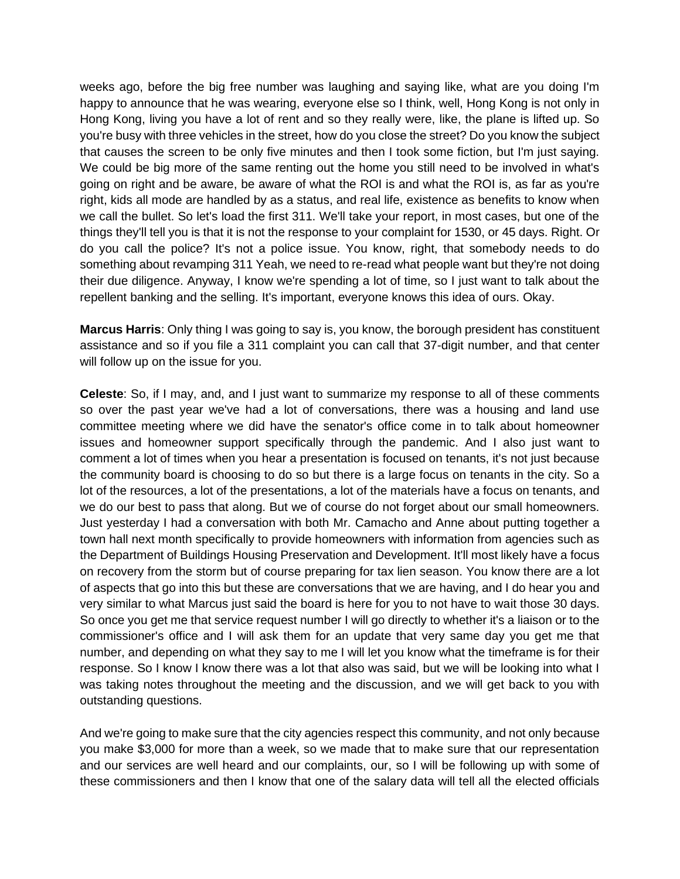weeks ago, before the big free number was laughing and saying like, what are you doing I'm happy to announce that he was wearing, everyone else so I think, well, Hong Kong is not only in Hong Kong, living you have a lot of rent and so they really were, like, the plane is lifted up. So you're busy with three vehicles in the street, how do you close the street? Do you know the subject that causes the screen to be only five minutes and then I took some fiction, but I'm just saying. We could be big more of the same renting out the home you still need to be involved in what's going on right and be aware, be aware of what the ROI is and what the ROI is, as far as you're right, kids all mode are handled by as a status, and real life, existence as benefits to know when we call the bullet. So let's load the first 311. We'll take your report, in most cases, but one of the things they'll tell you is that it is not the response to your complaint for 1530, or 45 days. Right. Or do you call the police? It's not a police issue. You know, right, that somebody needs to do something about revamping 311 Yeah, we need to re-read what people want but they're not doing their due diligence. Anyway, I know we're spending a lot of time, so I just want to talk about the repellent banking and the selling. It's important, everyone knows this idea of ours. Okay.

**Marcus Harris**: Only thing I was going to say is, you know, the borough president has constituent assistance and so if you file a 311 complaint you can call that 37-digit number, and that center will follow up on the issue for you.

**Celeste**: So, if I may, and, and I just want to summarize my response to all of these comments so over the past year we've had a lot of conversations, there was a housing and land use committee meeting where we did have the senator's office come in to talk about homeowner issues and homeowner support specifically through the pandemic. And I also just want to comment a lot of times when you hear a presentation is focused on tenants, it's not just because the community board is choosing to do so but there is a large focus on tenants in the city. So a lot of the resources, a lot of the presentations, a lot of the materials have a focus on tenants, and we do our best to pass that along. But we of course do not forget about our small homeowners. Just yesterday I had a conversation with both Mr. Camacho and Anne about putting together a town hall next month specifically to provide homeowners with information from agencies such as the Department of Buildings Housing Preservation and Development. It'll most likely have a focus on recovery from the storm but of course preparing for tax lien season. You know there are a lot of aspects that go into this but these are conversations that we are having, and I do hear you and very similar to what Marcus just said the board is here for you to not have to wait those 30 days. So once you get me that service request number I will go directly to whether it's a liaison or to the commissioner's office and I will ask them for an update that very same day you get me that number, and depending on what they say to me I will let you know what the timeframe is for their response. So I know I know there was a lot that also was said, but we will be looking into what I was taking notes throughout the meeting and the discussion, and we will get back to you with outstanding questions.

And we're going to make sure that the city agencies respect this community, and not only because you make \$3,000 for more than a week, so we made that to make sure that our representation and our services are well heard and our complaints, our, so I will be following up with some of these commissioners and then I know that one of the salary data will tell all the elected officials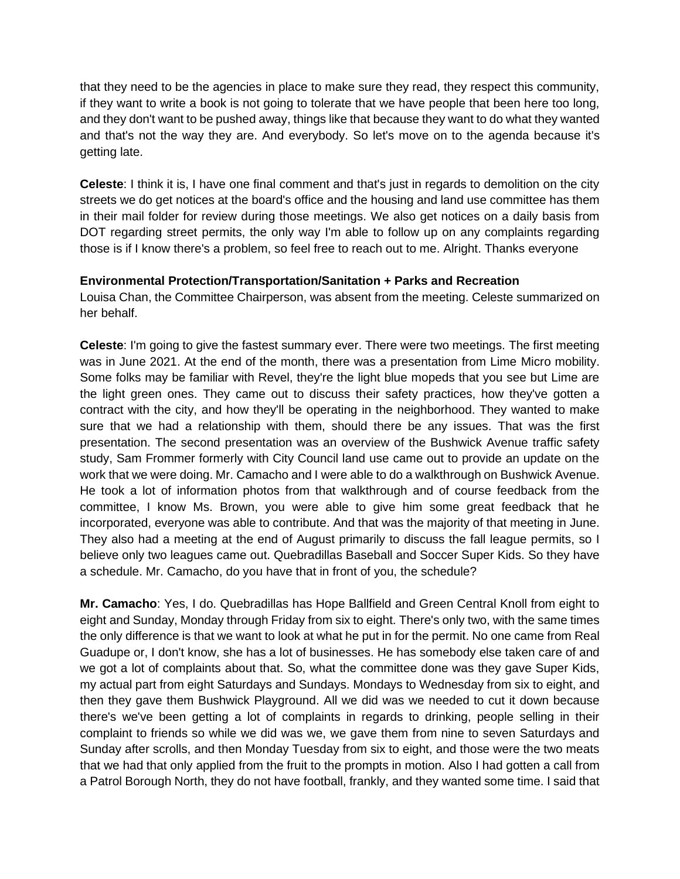that they need to be the agencies in place to make sure they read, they respect this community, if they want to write a book is not going to tolerate that we have people that been here too long, and they don't want to be pushed away, things like that because they want to do what they wanted and that's not the way they are. And everybody. So let's move on to the agenda because it's getting late.

**Celeste**: I think it is, I have one final comment and that's just in regards to demolition on the city streets we do get notices at the board's office and the housing and land use committee has them in their mail folder for review during those meetings. We also get notices on a daily basis from DOT regarding street permits, the only way I'm able to follow up on any complaints regarding those is if I know there's a problem, so feel free to reach out to me. Alright. Thanks everyone

#### **Environmental Protection/Transportation/Sanitation + Parks and Recreation**

Louisa Chan, the Committee Chairperson, was absent from the meeting. Celeste summarized on her behalf.

**Celeste**: I'm going to give the fastest summary ever. There were two meetings. The first meeting was in June 2021. At the end of the month, there was a presentation from Lime Micro mobility. Some folks may be familiar with Revel, they're the light blue mopeds that you see but Lime are the light green ones. They came out to discuss their safety practices, how they've gotten a contract with the city, and how they'll be operating in the neighborhood. They wanted to make sure that we had a relationship with them, should there be any issues. That was the first presentation. The second presentation was an overview of the Bushwick Avenue traffic safety study, Sam Frommer formerly with City Council land use came out to provide an update on the work that we were doing. Mr. Camacho and I were able to do a walkthrough on Bushwick Avenue. He took a lot of information photos from that walkthrough and of course feedback from the committee, I know Ms. Brown, you were able to give him some great feedback that he incorporated, everyone was able to contribute. And that was the majority of that meeting in June. They also had a meeting at the end of August primarily to discuss the fall league permits, so I believe only two leagues came out. Quebradillas Baseball and Soccer Super Kids. So they have a schedule. Mr. Camacho, do you have that in front of you, the schedule?

**Mr. Camacho**: Yes, I do. Quebradillas has Hope Ballfield and Green Central Knoll from eight to eight and Sunday, Monday through Friday from six to eight. There's only two, with the same times the only difference is that we want to look at what he put in for the permit. No one came from Real Guadupe or, I don't know, she has a lot of businesses. He has somebody else taken care of and we got a lot of complaints about that. So, what the committee done was they gave Super Kids, my actual part from eight Saturdays and Sundays. Mondays to Wednesday from six to eight, and then they gave them Bushwick Playground. All we did was we needed to cut it down because there's we've been getting a lot of complaints in regards to drinking, people selling in their complaint to friends so while we did was we, we gave them from nine to seven Saturdays and Sunday after scrolls, and then Monday Tuesday from six to eight, and those were the two meats that we had that only applied from the fruit to the prompts in motion. Also I had gotten a call from a Patrol Borough North, they do not have football, frankly, and they wanted some time. I said that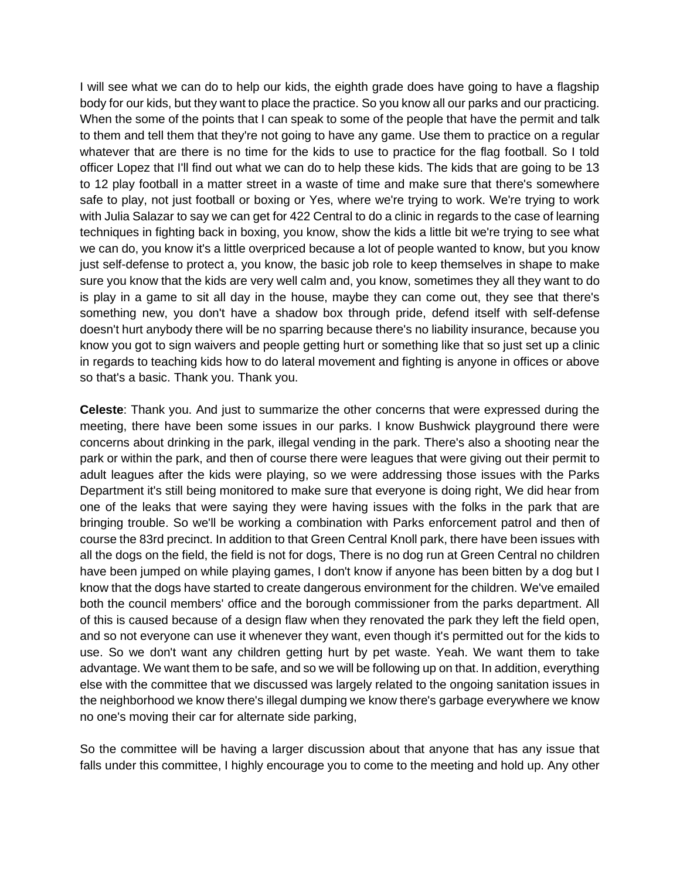I will see what we can do to help our kids, the eighth grade does have going to have a flagship body for our kids, but they want to place the practice. So you know all our parks and our practicing. When the some of the points that I can speak to some of the people that have the permit and talk to them and tell them that they're not going to have any game. Use them to practice on a regular whatever that are there is no time for the kids to use to practice for the flag football. So I told officer Lopez that I'll find out what we can do to help these kids. The kids that are going to be 13 to 12 play football in a matter street in a waste of time and make sure that there's somewhere safe to play, not just football or boxing or Yes, where we're trying to work. We're trying to work with Julia Salazar to say we can get for 422 Central to do a clinic in regards to the case of learning techniques in fighting back in boxing, you know, show the kids a little bit we're trying to see what we can do, you know it's a little overpriced because a lot of people wanted to know, but you know just self-defense to protect a, you know, the basic job role to keep themselves in shape to make sure you know that the kids are very well calm and, you know, sometimes they all they want to do is play in a game to sit all day in the house, maybe they can come out, they see that there's something new, you don't have a shadow box through pride, defend itself with self-defense doesn't hurt anybody there will be no sparring because there's no liability insurance, because you know you got to sign waivers and people getting hurt or something like that so just set up a clinic in regards to teaching kids how to do lateral movement and fighting is anyone in offices or above so that's a basic. Thank you. Thank you.

**Celeste**: Thank you. And just to summarize the other concerns that were expressed during the meeting, there have been some issues in our parks. I know Bushwick playground there were concerns about drinking in the park, illegal vending in the park. There's also a shooting near the park or within the park, and then of course there were leagues that were giving out their permit to adult leagues after the kids were playing, so we were addressing those issues with the Parks Department it's still being monitored to make sure that everyone is doing right, We did hear from one of the leaks that were saying they were having issues with the folks in the park that are bringing trouble. So we'll be working a combination with Parks enforcement patrol and then of course the 83rd precinct. In addition to that Green Central Knoll park, there have been issues with all the dogs on the field, the field is not for dogs, There is no dog run at Green Central no children have been jumped on while playing games, I don't know if anyone has been bitten by a dog but I know that the dogs have started to create dangerous environment for the children. We've emailed both the council members' office and the borough commissioner from the parks department. All of this is caused because of a design flaw when they renovated the park they left the field open, and so not everyone can use it whenever they want, even though it's permitted out for the kids to use. So we don't want any children getting hurt by pet waste. Yeah. We want them to take advantage. We want them to be safe, and so we will be following up on that. In addition, everything else with the committee that we discussed was largely related to the ongoing sanitation issues in the neighborhood we know there's illegal dumping we know there's garbage everywhere we know no one's moving their car for alternate side parking,

So the committee will be having a larger discussion about that anyone that has any issue that falls under this committee, I highly encourage you to come to the meeting and hold up. Any other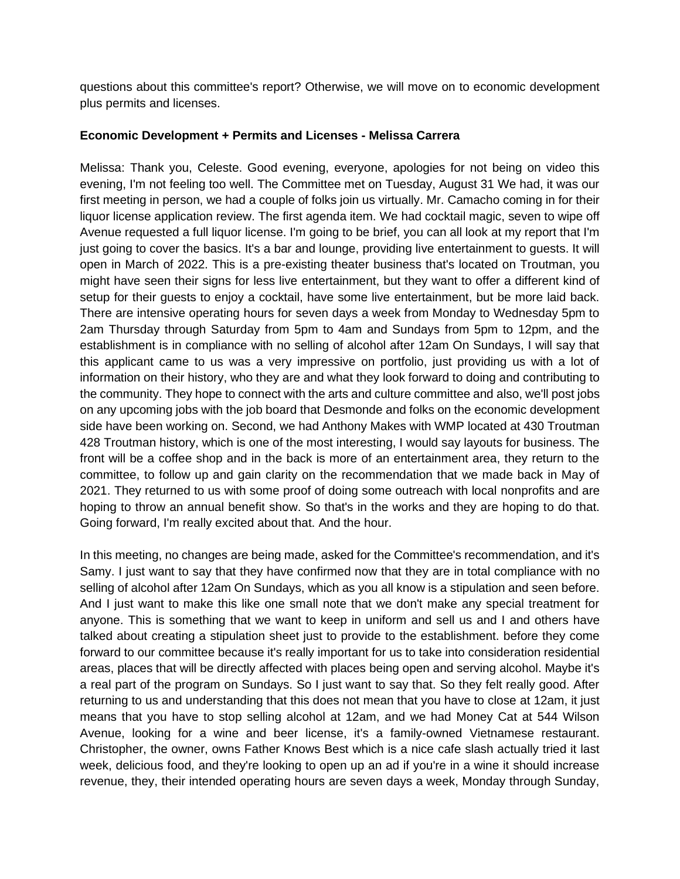questions about this committee's report? Otherwise, we will move on to economic development plus permits and licenses.

#### **Economic Development + Permits and Licenses - Melissa Carrera**

Melissa: Thank you, Celeste. Good evening, everyone, apologies for not being on video this evening, I'm not feeling too well. The Committee met on Tuesday, August 31 We had, it was our first meeting in person, we had a couple of folks join us virtually. Mr. Camacho coming in for their liquor license application review. The first agenda item. We had cocktail magic, seven to wipe off Avenue requested a full liquor license. I'm going to be brief, you can all look at my report that I'm just going to cover the basics. It's a bar and lounge, providing live entertainment to guests. It will open in March of 2022. This is a pre-existing theater business that's located on Troutman, you might have seen their signs for less live entertainment, but they want to offer a different kind of setup for their guests to enjoy a cocktail, have some live entertainment, but be more laid back. There are intensive operating hours for seven days a week from Monday to Wednesday 5pm to 2am Thursday through Saturday from 5pm to 4am and Sundays from 5pm to 12pm, and the establishment is in compliance with no selling of alcohol after 12am On Sundays, I will say that this applicant came to us was a very impressive on portfolio, just providing us with a lot of information on their history, who they are and what they look forward to doing and contributing to the community. They hope to connect with the arts and culture committee and also, we'll post jobs on any upcoming jobs with the job board that Desmonde and folks on the economic development side have been working on. Second, we had Anthony Makes with WMP located at 430 Troutman 428 Troutman history, which is one of the most interesting, I would say layouts for business. The front will be a coffee shop and in the back is more of an entertainment area, they return to the committee, to follow up and gain clarity on the recommendation that we made back in May of 2021. They returned to us with some proof of doing some outreach with local nonprofits and are hoping to throw an annual benefit show. So that's in the works and they are hoping to do that. Going forward, I'm really excited about that. And the hour.

In this meeting, no changes are being made, asked for the Committee's recommendation, and it's Samy. I just want to say that they have confirmed now that they are in total compliance with no selling of alcohol after 12am On Sundays, which as you all know is a stipulation and seen before. And I just want to make this like one small note that we don't make any special treatment for anyone. This is something that we want to keep in uniform and sell us and I and others have talked about creating a stipulation sheet just to provide to the establishment. before they come forward to our committee because it's really important for us to take into consideration residential areas, places that will be directly affected with places being open and serving alcohol. Maybe it's a real part of the program on Sundays. So I just want to say that. So they felt really good. After returning to us and understanding that this does not mean that you have to close at 12am, it just means that you have to stop selling alcohol at 12am, and we had Money Cat at 544 Wilson Avenue, looking for a wine and beer license, it's a family-owned Vietnamese restaurant. Christopher, the owner, owns Father Knows Best which is a nice cafe slash actually tried it last week, delicious food, and they're looking to open up an ad if you're in a wine it should increase revenue, they, their intended operating hours are seven days a week, Monday through Sunday,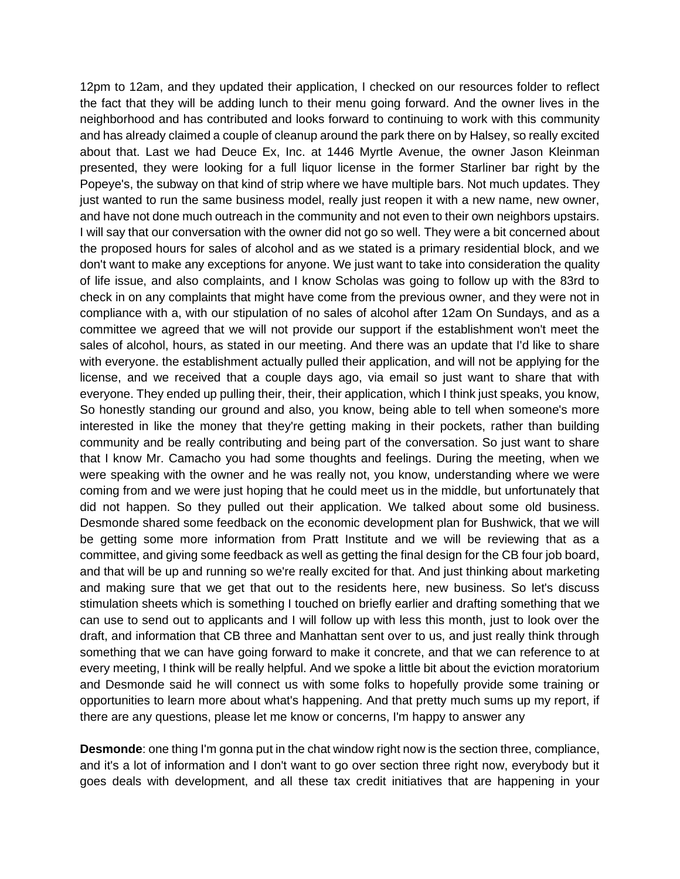12pm to 12am, and they updated their application, I checked on our resources folder to reflect the fact that they will be adding lunch to their menu going forward. And the owner lives in the neighborhood and has contributed and looks forward to continuing to work with this community and has already claimed a couple of cleanup around the park there on by Halsey, so really excited about that. Last we had Deuce Ex, Inc. at 1446 Myrtle Avenue, the owner Jason Kleinman presented, they were looking for a full liquor license in the former Starliner bar right by the Popeye's, the subway on that kind of strip where we have multiple bars. Not much updates. They just wanted to run the same business model, really just reopen it with a new name, new owner, and have not done much outreach in the community and not even to their own neighbors upstairs. I will say that our conversation with the owner did not go so well. They were a bit concerned about the proposed hours for sales of alcohol and as we stated is a primary residential block, and we don't want to make any exceptions for anyone. We just want to take into consideration the quality of life issue, and also complaints, and I know Scholas was going to follow up with the 83rd to check in on any complaints that might have come from the previous owner, and they were not in compliance with a, with our stipulation of no sales of alcohol after 12am On Sundays, and as a committee we agreed that we will not provide our support if the establishment won't meet the sales of alcohol, hours, as stated in our meeting. And there was an update that I'd like to share with everyone. the establishment actually pulled their application, and will not be applying for the license, and we received that a couple days ago, via email so just want to share that with everyone. They ended up pulling their, their, their application, which I think just speaks, you know, So honestly standing our ground and also, you know, being able to tell when someone's more interested in like the money that they're getting making in their pockets, rather than building community and be really contributing and being part of the conversation. So just want to share that I know Mr. Camacho you had some thoughts and feelings. During the meeting, when we were speaking with the owner and he was really not, you know, understanding where we were coming from and we were just hoping that he could meet us in the middle, but unfortunately that did not happen. So they pulled out their application. We talked about some old business. Desmonde shared some feedback on the economic development plan for Bushwick, that we will be getting some more information from Pratt Institute and we will be reviewing that as a committee, and giving some feedback as well as getting the final design for the CB four job board, and that will be up and running so we're really excited for that. And just thinking about marketing and making sure that we get that out to the residents here, new business. So let's discuss stimulation sheets which is something I touched on briefly earlier and drafting something that we can use to send out to applicants and I will follow up with less this month, just to look over the draft, and information that CB three and Manhattan sent over to us, and just really think through something that we can have going forward to make it concrete, and that we can reference to at every meeting, I think will be really helpful. And we spoke a little bit about the eviction moratorium and Desmonde said he will connect us with some folks to hopefully provide some training or opportunities to learn more about what's happening. And that pretty much sums up my report, if there are any questions, please let me know or concerns, I'm happy to answer any

**Desmonde**: one thing I'm gonna put in the chat window right now is the section three, compliance, and it's a lot of information and I don't want to go over section three right now, everybody but it goes deals with development, and all these tax credit initiatives that are happening in your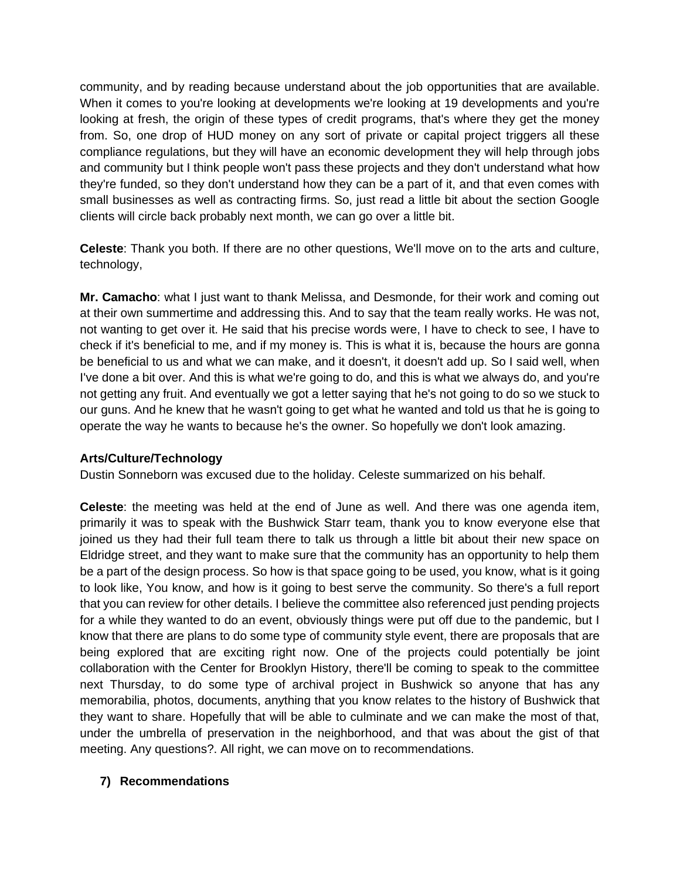community, and by reading because understand about the job opportunities that are available. When it comes to you're looking at developments we're looking at 19 developments and you're looking at fresh, the origin of these types of credit programs, that's where they get the money from. So, one drop of HUD money on any sort of private or capital project triggers all these compliance regulations, but they will have an economic development they will help through jobs and community but I think people won't pass these projects and they don't understand what how they're funded, so they don't understand how they can be a part of it, and that even comes with small businesses as well as contracting firms. So, just read a little bit about the section Google clients will circle back probably next month, we can go over a little bit.

**Celeste**: Thank you both. If there are no other questions, We'll move on to the arts and culture, technology,

**Mr. Camacho**: what I just want to thank Melissa, and Desmonde, for their work and coming out at their own summertime and addressing this. And to say that the team really works. He was not, not wanting to get over it. He said that his precise words were, I have to check to see, I have to check if it's beneficial to me, and if my money is. This is what it is, because the hours are gonna be beneficial to us and what we can make, and it doesn't, it doesn't add up. So I said well, when I've done a bit over. And this is what we're going to do, and this is what we always do, and you're not getting any fruit. And eventually we got a letter saying that he's not going to do so we stuck to our guns. And he knew that he wasn't going to get what he wanted and told us that he is going to operate the way he wants to because he's the owner. So hopefully we don't look amazing.

# **Arts/Culture/Technology**

Dustin Sonneborn was excused due to the holiday. Celeste summarized on his behalf.

**Celeste**: the meeting was held at the end of June as well. And there was one agenda item, primarily it was to speak with the Bushwick Starr team, thank you to know everyone else that joined us they had their full team there to talk us through a little bit about their new space on Eldridge street, and they want to make sure that the community has an opportunity to help them be a part of the design process. So how is that space going to be used, you know, what is it going to look like, You know, and how is it going to best serve the community. So there's a full report that you can review for other details. I believe the committee also referenced just pending projects for a while they wanted to do an event, obviously things were put off due to the pandemic, but I know that there are plans to do some type of community style event, there are proposals that are being explored that are exciting right now. One of the projects could potentially be joint collaboration with the Center for Brooklyn History, there'll be coming to speak to the committee next Thursday, to do some type of archival project in Bushwick so anyone that has any memorabilia, photos, documents, anything that you know relates to the history of Bushwick that they want to share. Hopefully that will be able to culminate and we can make the most of that, under the umbrella of preservation in the neighborhood, and that was about the gist of that meeting. Any questions?. All right, we can move on to recommendations.

# **7) Recommendations**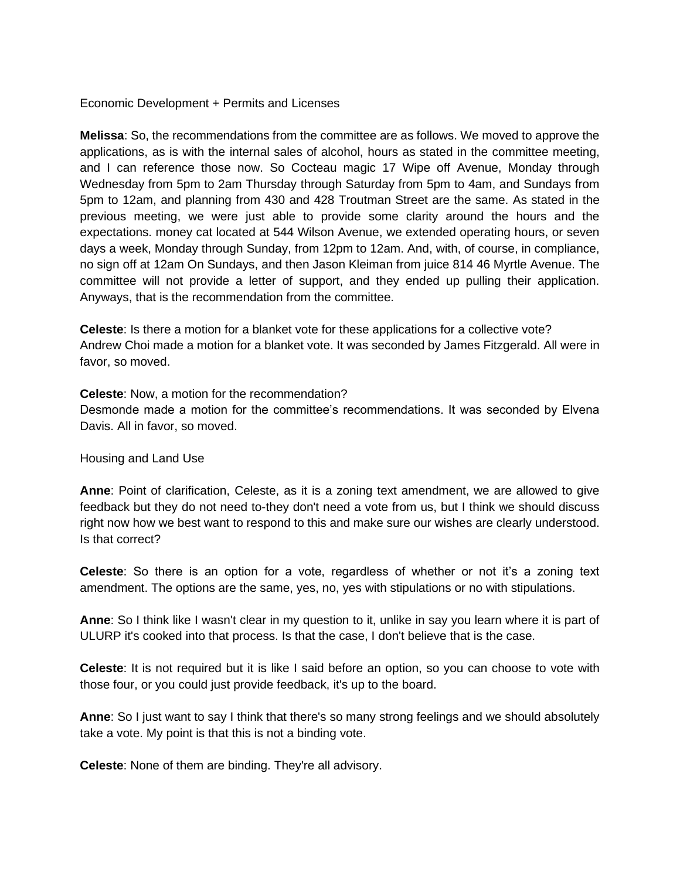Economic Development + Permits and Licenses

**Melissa**: So, the recommendations from the committee are as follows. We moved to approve the applications, as is with the internal sales of alcohol, hours as stated in the committee meeting, and I can reference those now. So Cocteau magic 17 Wipe off Avenue, Monday through Wednesday from 5pm to 2am Thursday through Saturday from 5pm to 4am, and Sundays from 5pm to 12am, and planning from 430 and 428 Troutman Street are the same. As stated in the previous meeting, we were just able to provide some clarity around the hours and the expectations. money cat located at 544 Wilson Avenue, we extended operating hours, or seven days a week, Monday through Sunday, from 12pm to 12am. And, with, of course, in compliance, no sign off at 12am On Sundays, and then Jason Kleiman from juice 814 46 Myrtle Avenue. The committee will not provide a letter of support, and they ended up pulling their application. Anyways, that is the recommendation from the committee.

**Celeste**: Is there a motion for a blanket vote for these applications for a collective vote? Andrew Choi made a motion for a blanket vote. It was seconded by James Fitzgerald. All were in favor, so moved.

**Celeste**: Now, a motion for the recommendation?

Desmonde made a motion for the committee's recommendations. It was seconded by Elvena Davis. All in favor, so moved.

Housing and Land Use

**Anne**: Point of clarification, Celeste, as it is a zoning text amendment, we are allowed to give feedback but they do not need to-they don't need a vote from us, but I think we should discuss right now how we best want to respond to this and make sure our wishes are clearly understood. Is that correct?

**Celeste**: So there is an option for a vote, regardless of whether or not it's a zoning text amendment. The options are the same, yes, no, yes with stipulations or no with stipulations.

**Anne**: So I think like I wasn't clear in my question to it, unlike in say you learn where it is part of ULURP it's cooked into that process. Is that the case, I don't believe that is the case.

**Celeste**: It is not required but it is like I said before an option, so you can choose to vote with those four, or you could just provide feedback, it's up to the board.

**Anne**: So I just want to say I think that there's so many strong feelings and we should absolutely take a vote. My point is that this is not a binding vote.

**Celeste**: None of them are binding. They're all advisory.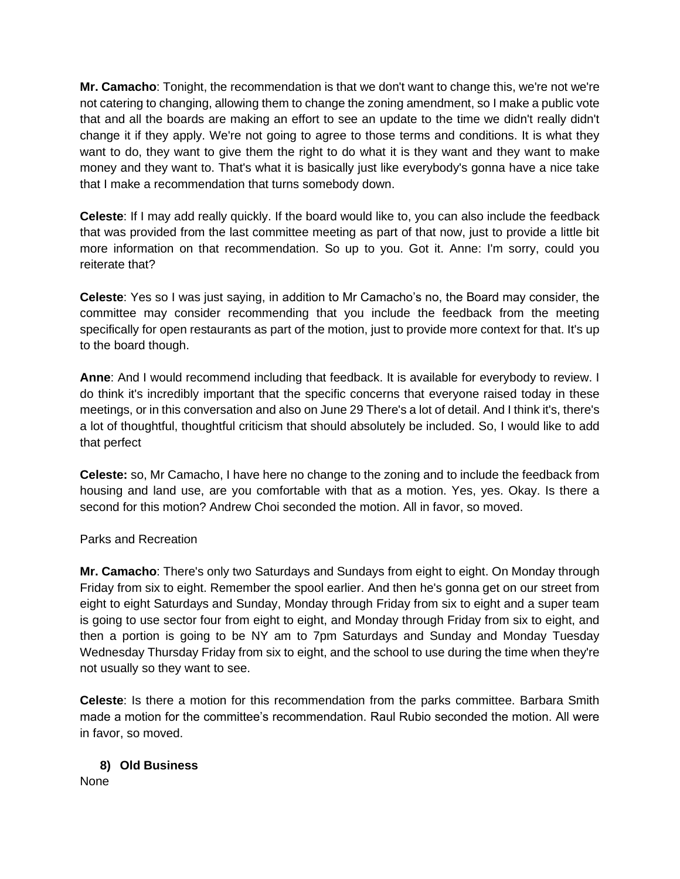**Mr. Camacho**: Tonight, the recommendation is that we don't want to change this, we're not we're not catering to changing, allowing them to change the zoning amendment, so I make a public vote that and all the boards are making an effort to see an update to the time we didn't really didn't change it if they apply. We're not going to agree to those terms and conditions. It is what they want to do, they want to give them the right to do what it is they want and they want to make money and they want to. That's what it is basically just like everybody's gonna have a nice take that I make a recommendation that turns somebody down.

**Celeste**: If I may add really quickly. If the board would like to, you can also include the feedback that was provided from the last committee meeting as part of that now, just to provide a little bit more information on that recommendation. So up to you. Got it. Anne: I'm sorry, could you reiterate that?

**Celeste**: Yes so I was just saying, in addition to Mr Camacho's no, the Board may consider, the committee may consider recommending that you include the feedback from the meeting specifically for open restaurants as part of the motion, just to provide more context for that. It's up to the board though.

**Anne**: And I would recommend including that feedback. It is available for everybody to review. I do think it's incredibly important that the specific concerns that everyone raised today in these meetings, or in this conversation and also on June 29 There's a lot of detail. And I think it's, there's a lot of thoughtful, thoughtful criticism that should absolutely be included. So, I would like to add that perfect

**Celeste:** so, Mr Camacho, I have here no change to the zoning and to include the feedback from housing and land use, are you comfortable with that as a motion. Yes, yes. Okay. Is there a second for this motion? Andrew Choi seconded the motion. All in favor, so moved.

Parks and Recreation

**Mr. Camacho**: There's only two Saturdays and Sundays from eight to eight. On Monday through Friday from six to eight. Remember the spool earlier. And then he's gonna get on our street from eight to eight Saturdays and Sunday, Monday through Friday from six to eight and a super team is going to use sector four from eight to eight, and Monday through Friday from six to eight, and then a portion is going to be NY am to 7pm Saturdays and Sunday and Monday Tuesday Wednesday Thursday Friday from six to eight, and the school to use during the time when they're not usually so they want to see.

**Celeste**: Is there a motion for this recommendation from the parks committee. Barbara Smith made a motion for the committee's recommendation. Raul Rubio seconded the motion. All were in favor, so moved.

# **8) Old Business**

None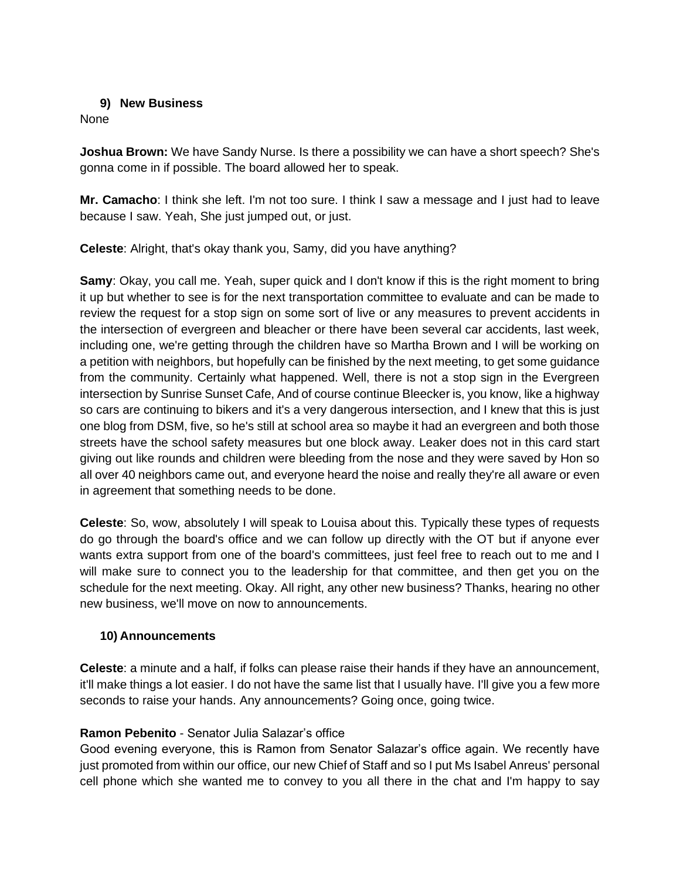#### **9) New Business**

None

**Joshua Brown:** We have Sandy Nurse. Is there a possibility we can have a short speech? She's gonna come in if possible. The board allowed her to speak.

**Mr. Camacho**: I think she left. I'm not too sure. I think I saw a message and I just had to leave because I saw. Yeah, She just jumped out, or just.

**Celeste**: Alright, that's okay thank you, Samy, did you have anything?

**Samy**: Okay, you call me. Yeah, super quick and I don't know if this is the right moment to bring it up but whether to see is for the next transportation committee to evaluate and can be made to review the request for a stop sign on some sort of live or any measures to prevent accidents in the intersection of evergreen and bleacher or there have been several car accidents, last week, including one, we're getting through the children have so Martha Brown and I will be working on a petition with neighbors, but hopefully can be finished by the next meeting, to get some guidance from the community. Certainly what happened. Well, there is not a stop sign in the Evergreen intersection by Sunrise Sunset Cafe, And of course continue Bleecker is, you know, like a highway so cars are continuing to bikers and it's a very dangerous intersection, and I knew that this is just one blog from DSM, five, so he's still at school area so maybe it had an evergreen and both those streets have the school safety measures but one block away. Leaker does not in this card start giving out like rounds and children were bleeding from the nose and they were saved by Hon so all over 40 neighbors came out, and everyone heard the noise and really they're all aware or even in agreement that something needs to be done.

**Celeste**: So, wow, absolutely I will speak to Louisa about this. Typically these types of requests do go through the board's office and we can follow up directly with the OT but if anyone ever wants extra support from one of the board's committees, just feel free to reach out to me and I will make sure to connect you to the leadership for that committee, and then get you on the schedule for the next meeting. Okay. All right, any other new business? Thanks, hearing no other new business, we'll move on now to announcements.

#### **10) Announcements**

**Celeste**: a minute and a half, if folks can please raise their hands if they have an announcement, it'll make things a lot easier. I do not have the same list that I usually have. I'll give you a few more seconds to raise your hands. Any announcements? Going once, going twice.

# **Ramon Pebenito** - Senator Julia Salazar's office

Good evening everyone, this is Ramon from Senator Salazar's office again. We recently have just promoted from within our office, our new Chief of Staff and so I put Ms Isabel Anreus' personal cell phone which she wanted me to convey to you all there in the chat and I'm happy to say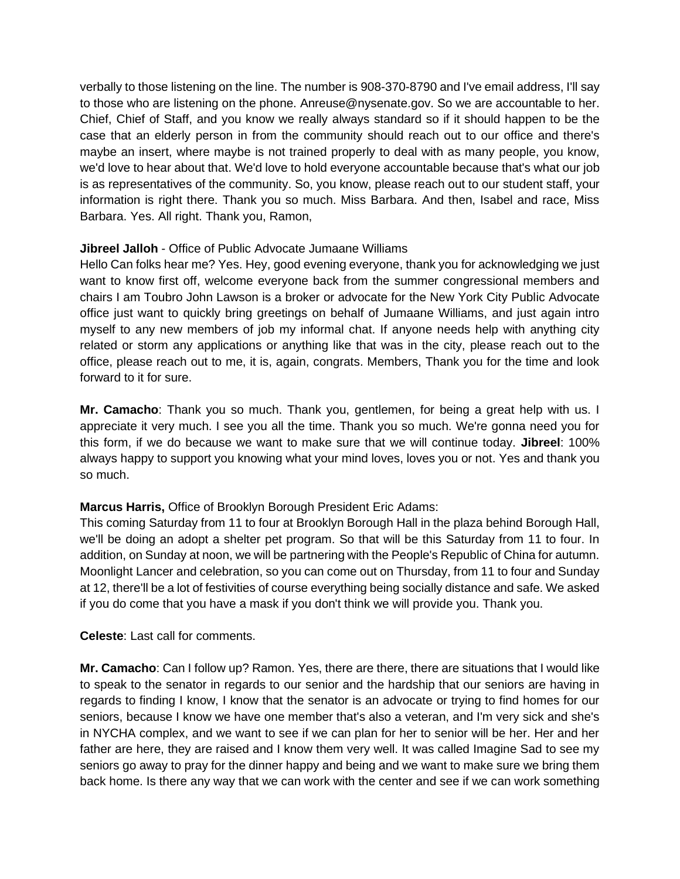verbally to those listening on the line. The number is 908-370-8790 and I've email address, I'll say to those who are listening on the phone. Anreuse@nysenate.gov. So we are accountable to her. Chief, Chief of Staff, and you know we really always standard so if it should happen to be the case that an elderly person in from the community should reach out to our office and there's maybe an insert, where maybe is not trained properly to deal with as many people, you know, we'd love to hear about that. We'd love to hold everyone accountable because that's what our job is as representatives of the community. So, you know, please reach out to our student staff, your information is right there. Thank you so much. Miss Barbara. And then, Isabel and race, Miss Barbara. Yes. All right. Thank you, Ramon,

#### **Jibreel Jalloh** - Office of Public Advocate Jumaane Williams

Hello Can folks hear me? Yes. Hey, good evening everyone, thank you for acknowledging we just want to know first off, welcome everyone back from the summer congressional members and chairs I am Toubro John Lawson is a broker or advocate for the New York City Public Advocate office just want to quickly bring greetings on behalf of Jumaane Williams, and just again intro myself to any new members of job my informal chat. If anyone needs help with anything city related or storm any applications or anything like that was in the city, please reach out to the office, please reach out to me, it is, again, congrats. Members, Thank you for the time and look forward to it for sure.

**Mr. Camacho**: Thank you so much. Thank you, gentlemen, for being a great help with us. I appreciate it very much. I see you all the time. Thank you so much. We're gonna need you for this form, if we do because we want to make sure that we will continue today. **Jibreel**: 100% always happy to support you knowing what your mind loves, loves you or not. Yes and thank you so much.

# **Marcus Harris,** Office of Brooklyn Borough President Eric Adams:

This coming Saturday from 11 to four at Brooklyn Borough Hall in the plaza behind Borough Hall, we'll be doing an adopt a shelter pet program. So that will be this Saturday from 11 to four. In addition, on Sunday at noon, we will be partnering with the People's Republic of China for autumn. Moonlight Lancer and celebration, so you can come out on Thursday, from 11 to four and Sunday at 12, there'll be a lot of festivities of course everything being socially distance and safe. We asked if you do come that you have a mask if you don't think we will provide you. Thank you.

**Celeste**: Last call for comments.

**Mr. Camacho**: Can I follow up? Ramon. Yes, there are there, there are situations that I would like to speak to the senator in regards to our senior and the hardship that our seniors are having in regards to finding I know, I know that the senator is an advocate or trying to find homes for our seniors, because I know we have one member that's also a veteran, and I'm very sick and she's in NYCHA complex, and we want to see if we can plan for her to senior will be her. Her and her father are here, they are raised and I know them very well. It was called Imagine Sad to see my seniors go away to pray for the dinner happy and being and we want to make sure we bring them back home. Is there any way that we can work with the center and see if we can work something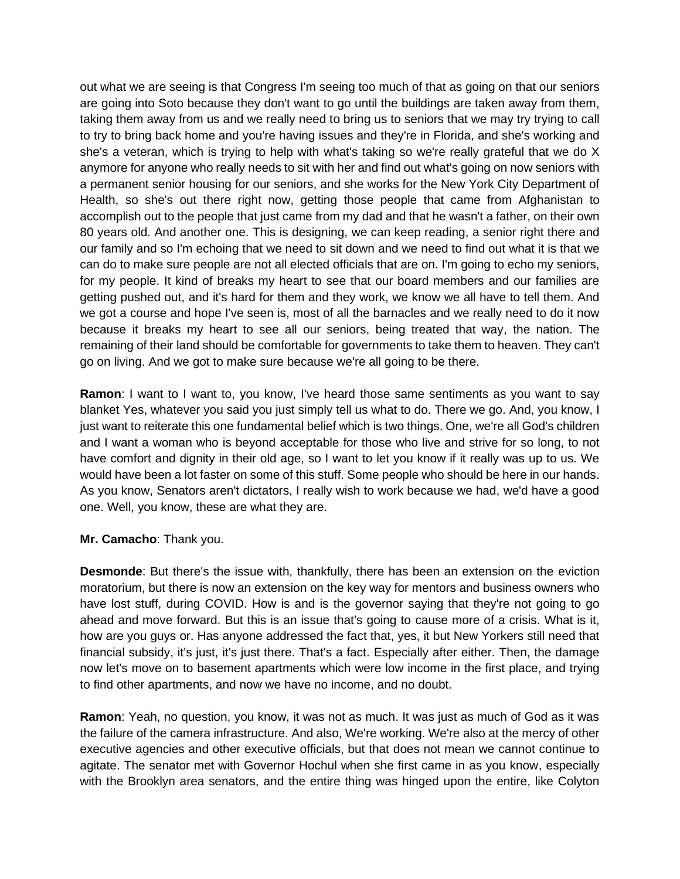out what we are seeing is that Congress I'm seeing too much of that as going on that our seniors are going into Soto because they don't want to go until the buildings are taken away from them, taking them away from us and we really need to bring us to seniors that we may try trying to call to try to bring back home and you're having issues and they're in Florida, and she's working and she's a veteran, which is trying to help with what's taking so we're really grateful that we do X anymore for anyone who really needs to sit with her and find out what's going on now seniors with a permanent senior housing for our seniors, and she works for the New York City Department of Health, so she's out there right now, getting those people that came from Afghanistan to accomplish out to the people that just came from my dad and that he wasn't a father, on their own 80 years old. And another one. This is designing, we can keep reading, a senior right there and our family and so I'm echoing that we need to sit down and we need to find out what it is that we can do to make sure people are not all elected officials that are on. I'm going to echo my seniors, for my people. It kind of breaks my heart to see that our board members and our families are getting pushed out, and it's hard for them and they work, we know we all have to tell them. And we got a course and hope I've seen is, most of all the barnacles and we really need to do it now because it breaks my heart to see all our seniors, being treated that way, the nation. The remaining of their land should be comfortable for governments to take them to heaven. They can't go on living. And we got to make sure because we're all going to be there.

**Ramon**: I want to I want to, you know, I've heard those same sentiments as you want to say blanket Yes, whatever you said you just simply tell us what to do. There we go. And, you know, I just want to reiterate this one fundamental belief which is two things. One, we're all God's children and I want a woman who is beyond acceptable for those who live and strive for so long, to not have comfort and dignity in their old age, so I want to let you know if it really was up to us. We would have been a lot faster on some of this stuff. Some people who should be here in our hands. As you know, Senators aren't dictators, I really wish to work because we had, we'd have a good one. Well, you know, these are what they are.

#### **Mr. Camacho**: Thank you.

**Desmonde**: But there's the issue with, thankfully, there has been an extension on the eviction moratorium, but there is now an extension on the key way for mentors and business owners who have lost stuff, during COVID. How is and is the governor saying that they're not going to go ahead and move forward. But this is an issue that's going to cause more of a crisis. What is it, how are you guys or. Has anyone addressed the fact that, yes, it but New Yorkers still need that financial subsidy, it's just, it's just there. That's a fact. Especially after either. Then, the damage now let's move on to basement apartments which were low income in the first place, and trying to find other apartments, and now we have no income, and no doubt.

**Ramon**: Yeah, no question, you know, it was not as much. It was just as much of God as it was the failure of the camera infrastructure. And also, We're working. We're also at the mercy of other executive agencies and other executive officials, but that does not mean we cannot continue to agitate. The senator met with Governor Hochul when she first came in as you know, especially with the Brooklyn area senators, and the entire thing was hinged upon the entire, like Colyton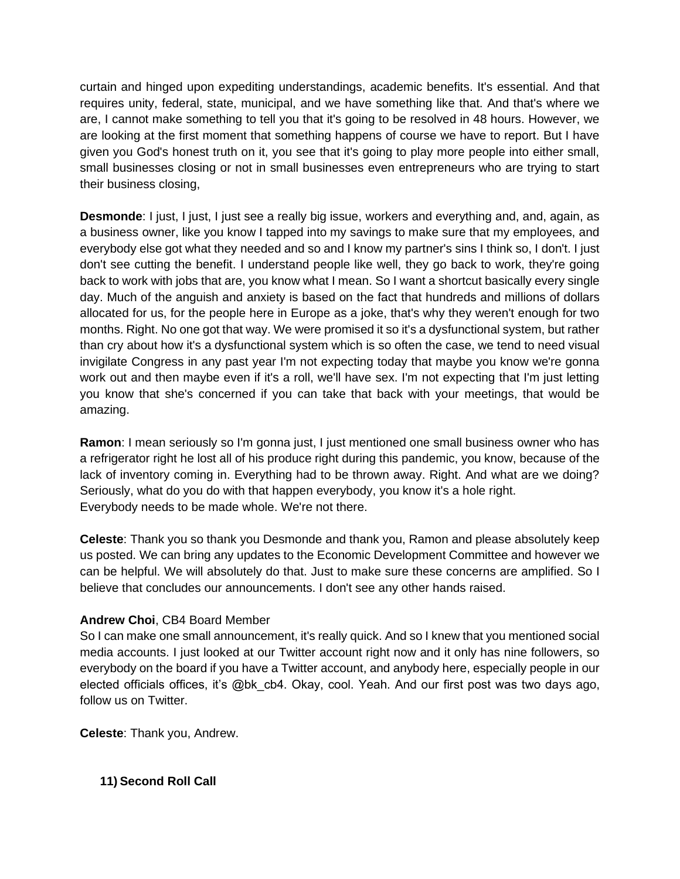curtain and hinged upon expediting understandings, academic benefits. It's essential. And that requires unity, federal, state, municipal, and we have something like that. And that's where we are, I cannot make something to tell you that it's going to be resolved in 48 hours. However, we are looking at the first moment that something happens of course we have to report. But I have given you God's honest truth on it, you see that it's going to play more people into either small, small businesses closing or not in small businesses even entrepreneurs who are trying to start their business closing,

**Desmonde**: I just, I just, I just see a really big issue, workers and everything and, and, again, as a business owner, like you know I tapped into my savings to make sure that my employees, and everybody else got what they needed and so and I know my partner's sins I think so, I don't. I just don't see cutting the benefit. I understand people like well, they go back to work, they're going back to work with jobs that are, you know what I mean. So I want a shortcut basically every single day. Much of the anguish and anxiety is based on the fact that hundreds and millions of dollars allocated for us, for the people here in Europe as a joke, that's why they weren't enough for two months. Right. No one got that way. We were promised it so it's a dysfunctional system, but rather than cry about how it's a dysfunctional system which is so often the case, we tend to need visual invigilate Congress in any past year I'm not expecting today that maybe you know we're gonna work out and then maybe even if it's a roll, we'll have sex. I'm not expecting that I'm just letting you know that she's concerned if you can take that back with your meetings, that would be amazing.

**Ramon**: I mean seriously so I'm gonna just, I just mentioned one small business owner who has a refrigerator right he lost all of his produce right during this pandemic, you know, because of the lack of inventory coming in. Everything had to be thrown away. Right. And what are we doing? Seriously, what do you do with that happen everybody, you know it's a hole right. Everybody needs to be made whole. We're not there.

**Celeste**: Thank you so thank you Desmonde and thank you, Ramon and please absolutely keep us posted. We can bring any updates to the Economic Development Committee and however we can be helpful. We will absolutely do that. Just to make sure these concerns are amplified. So I believe that concludes our announcements. I don't see any other hands raised.

# **Andrew Choi**, CB4 Board Member

So I can make one small announcement, it's really quick. And so I knew that you mentioned social media accounts. I just looked at our Twitter account right now and it only has nine followers, so everybody on the board if you have a Twitter account, and anybody here, especially people in our elected officials offices, it's @bk\_cb4. Okay, cool. Yeah. And our first post was two days ago, follow us on Twitter.

**Celeste**: Thank you, Andrew.

**11) Second Roll Call**